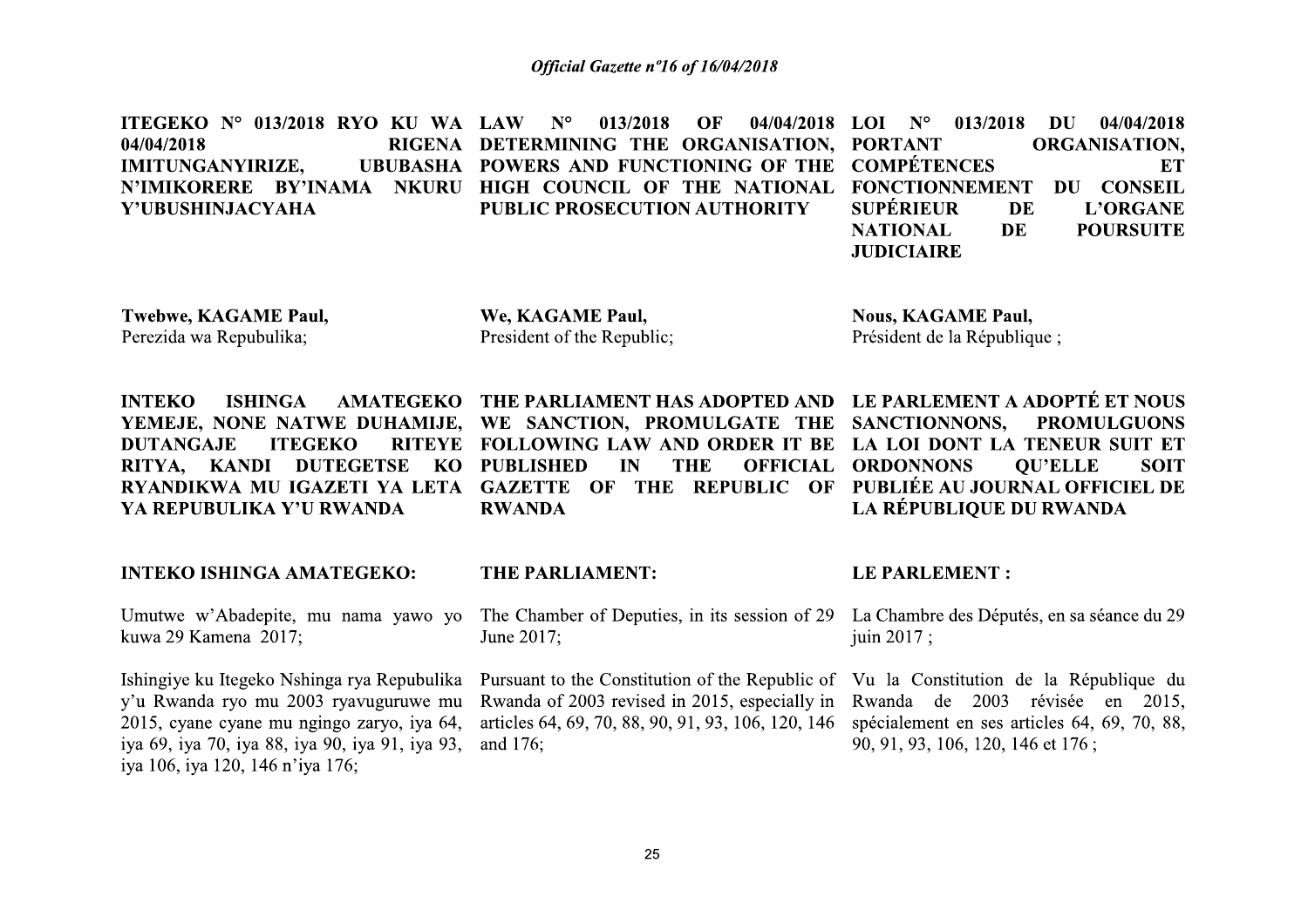ITEGEKO Nº 013/2018 RYO KU WA LAW 013/2018  $04/04/2018$  LOI N° 013/2018 DU 04/04/2018  $N^{\circ}$ OF RIGENA DETERMINING THE ORGANISATION, PORTANT **ORGANISATION.** 04/04/2018 UBUBASHA POWERS AND FUNCTIONING OF THE COMPÉTENCES **IMITUNGANYIRIZE. ET** N'IMIKORERE BY'INAMA NKURU HIGH COUNCIL OF THE NATIONAL **FONCTIONNEMENT** DU CONSEIL **SUPÉRIEUR PUBLIC PROSECUTION AUTHORITY** Y'UBUSHINJACYAHA DE L'ORGANE DE **NATIONAL POURSUITE JUDICIAIRE** 

**Twebwe, KAGAME Paul,** Perezida wa Repubulika:

We, KAGAME Paul, President of the Republic:

**Nous, KAGAME Paul,** Président de la République ;

AMATEGEKO THE PARLIAMENT HAS ADOPTED AND LE PARLEMENT A ADOPTÉ ET NOUS **INTEKO ISHINGA** YEMEJE, NONE NATWE DUHAMIJE, WE SANCTION, PROMULGATE THE SANCTIONNONS, **DUTANGAJE ITEGEKO** RITEYE FOLLOWING LAW AND ORDER IT BE RITYA, KANDI DUTEGETSE **KO PUBLISHED** RYANDIKWA MU IGAZETI YA LETA GAZETTE OF THE REPUBLIC OF YA REPUBULIKA Y'U RWANDA **RWANDA** 

#### **INTEKO ISHINGA AMATEGEKO:**

Umutwe w'Abadepite, mu nama yawo yo kuwa 29 Kamena 2017;

Ishingiye ku Itegeko Nshinga rya Repubulika v'u Rwanda ryo mu 2003 ryavuguruwe mu 2015, cyane cyane mu ngingo zaryo, iya 64, iya 69, iya 70, iya 88, iya 90, iya 91, iya 93, iya 106, iya 120, 146 n'iya 176;

#### THE PARLIAMENT:

The Chamber of Deputies, in its session of 29 June 2017;

IN

**THE** 

**OFFICIAL** 

Rwanda of 2003 revised in 2015, especially in articles 64, 69, 70, 88, 90, 91, 93, 106, 120, 146 and 176;

#### **LE PARLEMENT:**

**ORDONNONS** 

La Chambre des Députés, en sa séance du 29 juin 2017 :

LA LOI DONT LA TENEUR SUIT ET

PUBLIÉE AU JOURNAL OFFICIEL DE

LA RÉPUBLIQUE DU RWANDA

**OU'ELLE** 

**PROMULGUONS** 

**SOIT** 

Pursuant to the Constitution of the Republic of Vu la Constitution de la République du Rwanda de 2003 révisée en 2015, spécialement en ses articles 64, 69, 70, 88, 90, 91, 93, 106, 120, 146 et 176;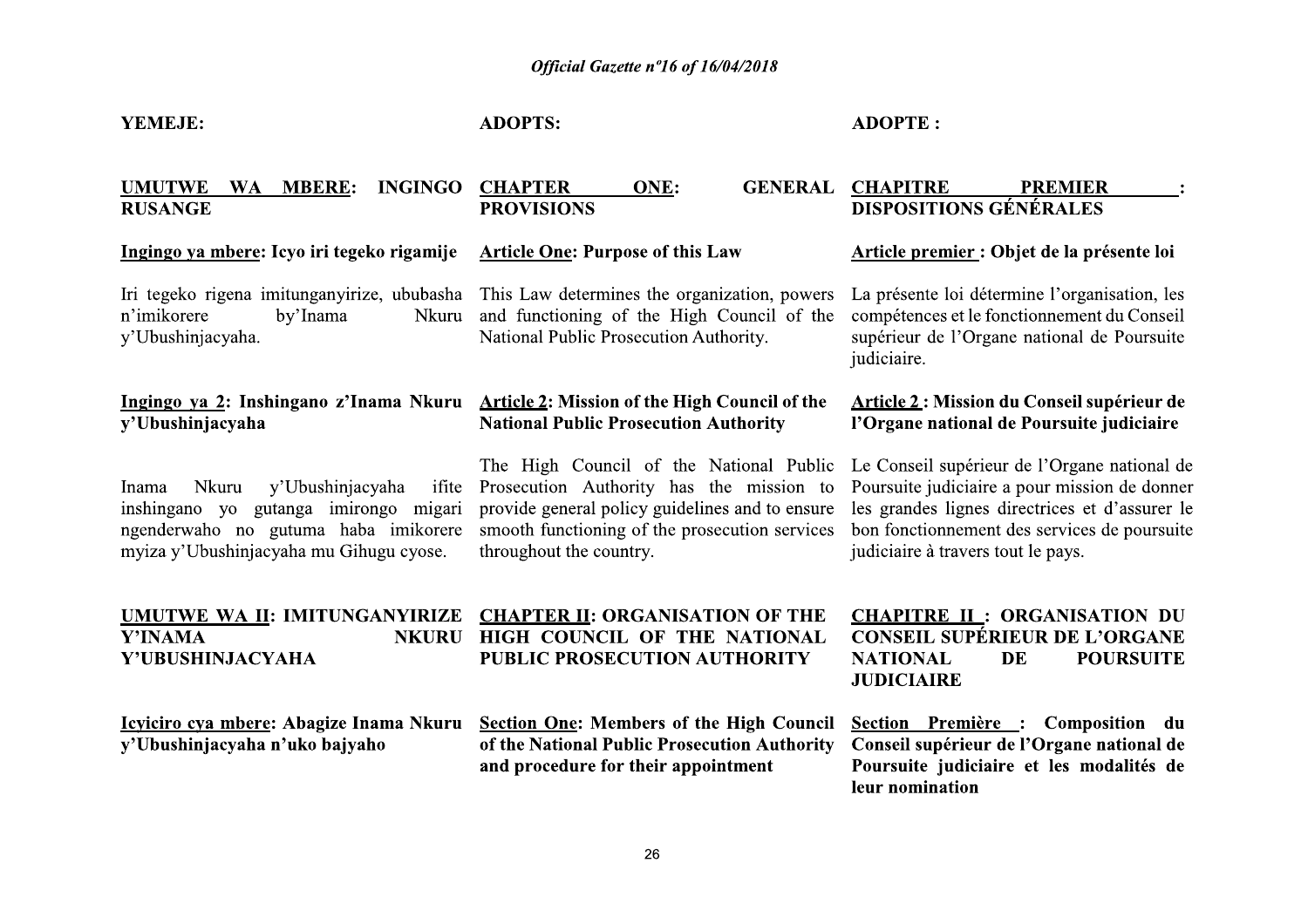#### YEMEJE:

**ADOPTS:** 

#### **ADOPTE:**

#### UMUTWE WA MBERE: **CHAPTER INGINGO ONE: PROVISIONS RUSANGE**

#### Ingingo va mbere: Icvo iri tegeko rigamije

n'imikorere by'Inama v'Ubushiniacvaha.

# v'Ubushiniacvaha

y'Ubushinjacyaha Nkuru Inama inshingano yo gutanga imirongo migari myiza y'Ubushinjacyaha mu Gihugu cyose.

#### **Article One: Purpose of this Law**

Iri tegeko rigena imitunganyirize, ububasha This Law determines the organization, powers Nkuru and functioning of the High Council of the National Public Prosecution Authority.

#### Ingingo ya 2: Inshingano z'Inama Nkuru Article 2: Mission of the High Council of the **National Public Prosecution Authority**

The High Council of the National Public ifite Prosecution Authority has the mission to provide general policy guidelines and to ensure ngenderwaho no gutuma haba imikorere smooth functioning of the prosecution services

#### **GENERAL CHAPITRE PREMIER DISPOSITIONS GÉNÉRALES**

#### Article premier : Objet de la présente loi

La présente loi détermine l'organisation, les compétences et le fonctionnement du Conseil supérieur de l'Organe national de Poursuite judiciaire.

#### **Article 2: Mission du Conseil supérieur de** l'Organe national de Poursuite judiciaire

Le Conseil supérieur de l'Organe national de Poursuite judiciaire a pour mission de donner les grandes lignes directrices et d'assurer le bon fonctionnement des services de poursuite judiciaire à travers tout le pays.

## Y'INAMA Y'UBUSHINJACYAHA

Icviciro cva mbere: Abagize Inama Nkuru y'Ubushinjacyaha n'uko bajyaho

throughout the country.

## UMUTWE WA II: IMITUNGANYIRIZE CHAPTER II: ORGANISATION OF THE NKURU HIGH COUNCIL OF THE NATIONAL **PUBLIC PROSECUTION AUTHORITY**

#### **CHAPITRE II: ORGANISATION DU CONSEIL SUPÉRIEUR DE L'ORGANE NATIONAL** DE **POURSUITE JUDICIAIRE**

**Section One: Members of the High Council** Section Première : Composition du of the National Public Prosecution Authority Conseil supérieur de l'Organe national de and procedure for their appointment Poursuite judiciaire et les modalités de leur nomination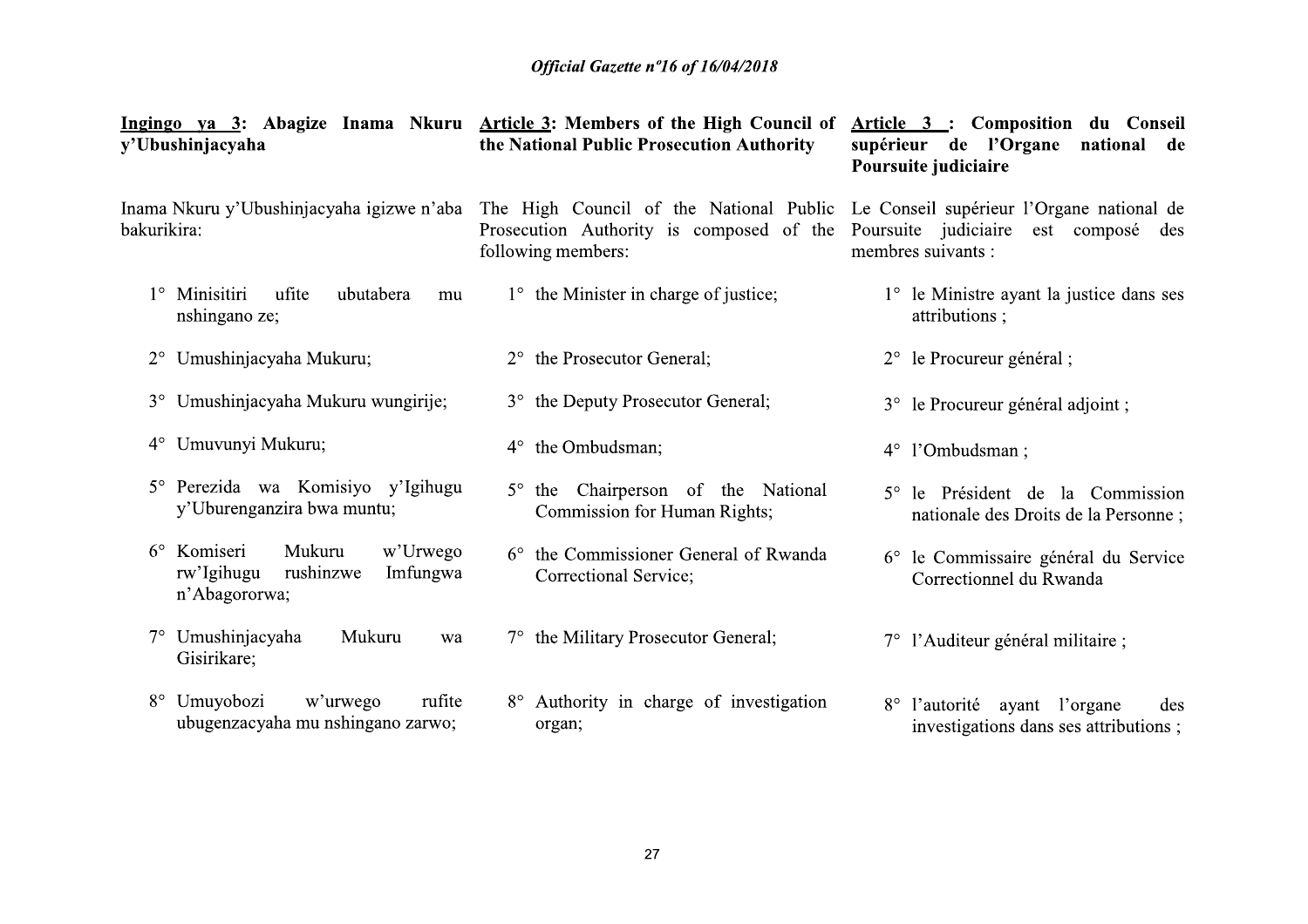| y'Ubushinjacyaha                                                                                      | Ingingo ya 3: Abagize Inama Nkuru Article 3: Members of the High Council of<br>the National Public Prosecution Authority                            | Article 3 : Composition du Conseil<br>supérieur de l'Organe<br>national de<br>Poursuite judiciaire |
|-------------------------------------------------------------------------------------------------------|-----------------------------------------------------------------------------------------------------------------------------------------------------|----------------------------------------------------------------------------------------------------|
| Inama Nkuru y'Ubushinjacyaha igizwe n'aba<br>bakurikira:                                              | The High Council of the National Public Le Conseil supérieur l'Organe national de<br>Prosecution Authority is composed of the<br>following members: | Poursuite judiciaire<br>est composé<br>des<br>membres suivants :                                   |
| Minisitiri<br>ufite<br>ubutabera<br>mu<br>nshingano ze;                                               | $1^{\circ}$ the Minister in charge of justice;                                                                                                      | 1° le Ministre ayant la justice dans ses<br>attributions;                                          |
| 2° Umushinjacyaha Mukuru;                                                                             | 2° the Prosecutor General;                                                                                                                          | 2° le Procureur général ;                                                                          |
| 3° Umushinjacyaha Mukuru wungirije;                                                                   | 3° the Deputy Prosecutor General;                                                                                                                   | 3° le Procureur général adjoint ;                                                                  |
| Umuvunyi Mukuru;<br>$4^{\circ}$                                                                       | the Ombudsman;<br>$4^{\circ}$                                                                                                                       | 4° l'Ombudsman;                                                                                    |
| Perezida wa Komisiyo y'Igihugu<br>$5^\circ$<br>y'Uburenganzira bwa muntu;                             | 5° the Chairperson of the National<br><b>Commission for Human Rights;</b>                                                                           | 5° le Président de la Commission<br>nationale des Droits de la Personne;                           |
| Komiseri<br>Mukuru<br>$6^{\circ}$<br>w'Urwego<br>rushinzwe<br>rw'Igihugu<br>Imfungwa<br>n'Abagororwa; | the Commissioner General of Rwanda<br>$6^{\circ}$<br>Correctional Service;                                                                          | 6° le Commissaire général du Service<br>Correctionnel du Rwanda                                    |
| Umushinjacyaha<br>Mukuru<br>$7^\circ$<br>wa<br>Gisirikare;                                            | 7° the Military Prosecutor General;                                                                                                                 | 7° l'Auditeur général militaire ;                                                                  |
| Umuyobozi<br>$8^{\circ}$<br>w'urwego<br>rufite<br>ubugenzacyaha mu nshingano zarwo;                   | 8° Authority in charge of investigation<br>organ;                                                                                                   | l'autorité<br>ayant l'organe<br>$8^{\circ}$<br>des<br>investigations dans ses attributions;        |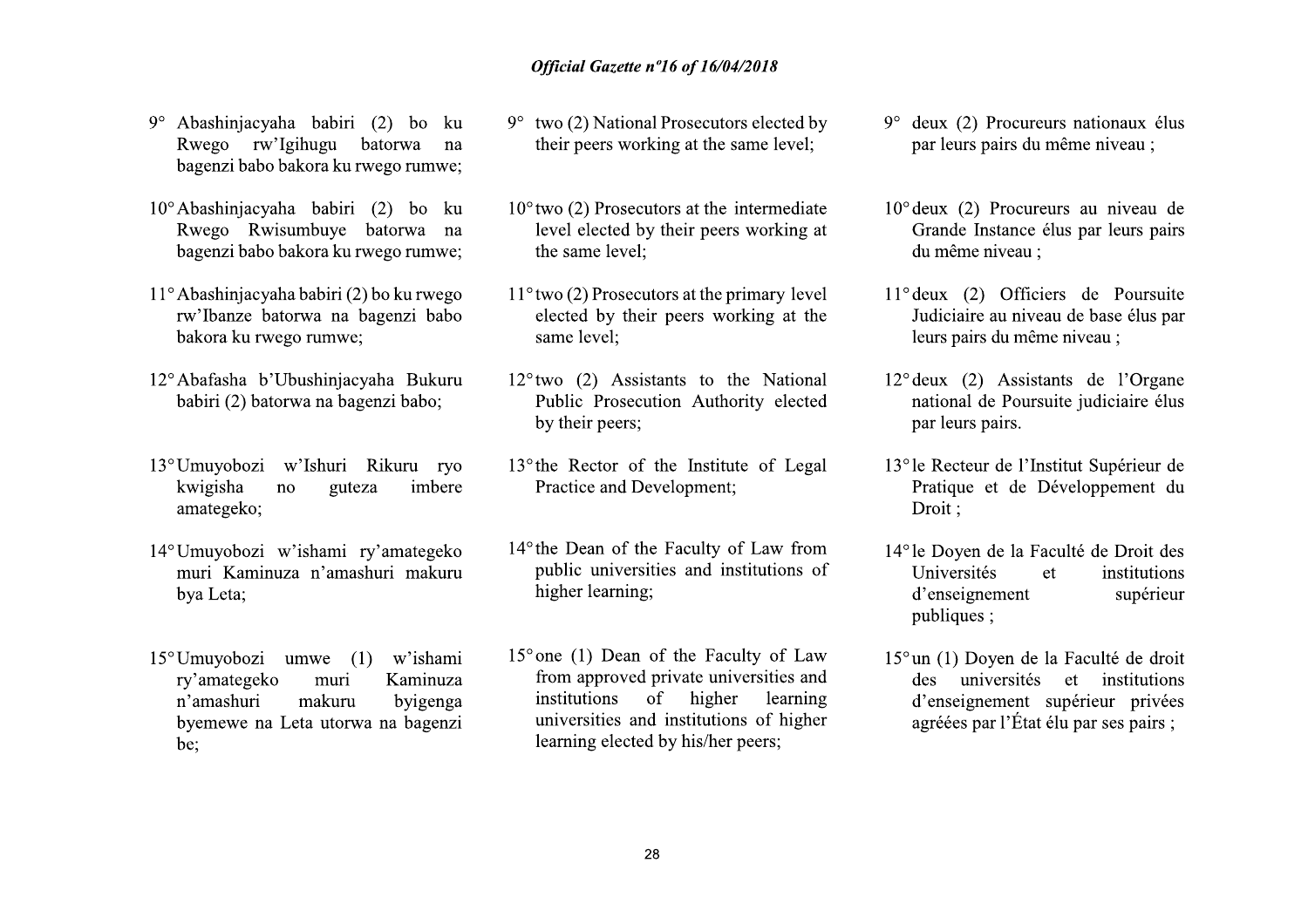- 
- **Official Gazette rollocation**<br> **EXECUTE CONSUMIDE SURVENT CONSUMIDE SURVENT CONTAINM CONTAINS TO BE THE PER SURVENT DEPTHDENT OF A D<sup>o</sup> two (2) Prosect Rwego Rwisumbuye batorwa na level elected by bagenzi babo bakora ku** 9° Abashinjacyaha babiri (2) bo ku serega rw'Igihugu batorwa na their peers wor bagenzi babo bakora ku rwego rumwe;<br>
10° Abashinjacyaha babiri (2) bo ku 10° two (2) Prosect Rwego Rwisumbuye batorwa na level elected by bag 10° Abashinjacyaha babiri (2) bo ku<br>
Rwego Rwisumbuye batorwa na level elected b<br>
bagenzi babo bakora ku rwego rumwe;<br>
11° Abashinjacyaha babiri (2) bo ku rwego 11° two (2) Prosecu<br>
rw'Ibanze batorwa na bagenzi babo elect
	-
	-
- bagenzi babo bake<br>
11° Abashinjacyaha b<br>
rw'Ibanze batorv<br>
bakora ku rwego<br>
12° Abafasha b'Ubu<br>
babiri (2) batorwa<br>
kwigisha no<br>
kwigisha no<br>
amategeko;<br>
14° Umuyobozi w'is<br>
muri Kaminuza<br>
bya Leta; 11° Abashinjacyaha babiri (2) bo ku rwego<br>
rw'lbanze batorwa na bagenzi babo<br>
bakora ku rwego rumwe;<br>
12° Abafasha b'Ubushinjacyaha Bukuru<br>
babiri (2) batorwa na bagenzi babo;<br>
bulic Prosecc<br>
by their peers;<br>
13° Umuyobozi
	-
- $12^{\circ}$ Abafasha b'Ubushinjacyaha Bukuru  $12^{\circ}$ two (2) Assis<br>
babiri (2) batorwa na bagenzi babo; Public Prosect<br>
by their peers;<br>
13<sup>°</sup>Umuyobozi w'ishami ry'amategeko Practice and De<br>
amategeko;<br>  $14^{\circ}$ Umuyobozi w'is 13° Umuyobozi w'l<br>
kwigisha no<br>
amategeko;<br>
14° Umuyobozi w'is<br>
muri Kaminuza<br>
bya Leta;<br>
15° Umuyobozi um<br>
ry'amategeko<br>
n'amashuri n<br>
byemewe na Let:<br>
be; The Heatter of kwigisha no guteza imbere<br>
anategeko;<br>
14° Umuyobozi w'ishami ry'amategeko Practice and De<br>
muri Kaminuza n'amashuri makuru public university<br>
bya Leta;<br>
15° Umuyobozi umwe (1) w'ishami 15° one (1) Dean<br>
ry' bya Leta;<br>
15° Umuyobozi um<br>
ry'amategeko<br>
n'amashuri n<br>
byemewe na Leta;<br>
be; 15° Umuyobozi um<br>ry'amategeko<br>n'amashuri n<br>byemewe na Let:<br>be;
- 
- **Official Gazette n°16 of 16/1**<br>
(2) bo ku 9° two (2) National Prosecut<br>
batorwa na their peers working at the<br>
wego rumwe;<br>
(2) bo ku 10° two (2) Prosecutors at the<br>
batorwa na level elected by their pee **Official Gazette n°16 of 16/04**<br>
(a) bo ku 9° two (2) National Prosecutor<br>
orwa na their peers working at the s<br>
go rumwe;<br>
(b) bo ku 10° two (2) Prosecutors at the is<br>
orwa na level elected by their peers **Official Gazette n°16 of 16/04/2018**<br>
bo ku 9° two (2) National Prosecutors electe<br>
wa na their peers working at the same lev<br>
bo ku 10° two (2) Prosecutors at the intermed<br>
wa na level elected by their peers working **Official Gazette n°16 of 16/04/2018**<br>1 9° two (2) National Prosecutors elected<br>their peers working at the same lever<br>3 10° two (2) Prosecutors at the intermed<br>1 evel elected by their peers working **Example 20** Official Gazette n<sup>o</sup>16 of 16/04/2018<br>
29<sup>°</sup> Abashinjacyaha babiri (2) bo ku<br>
bagenzi babo bakora ku rwego rumwe;<br>
10<sup>°</sup> Abashinjacyaha babiri (2) bo ku<br>
Rwego Rwisumbuye batorwa na level elected by their pee Official Gazette n°16 of 16/04/2018<br>
abiri (2) bo ku <sup>9°</sup> two (2) National Prosecutors elected by <sup>9°</sup> deux (2) Pro<br>
a ku rwego rumwe;<br>
a ku rwego rumwe;<br>
a ku rwego rumwe; level elected by their peers working at the same **Official Gazette n°16 of 16/**<br>
i (2) bo ku 9° two (2) National Prosecure<br>
batorwa na their peers working at the<br>
invego rumwe;<br>
i (2) bo ku 10° two (2) Prosecutors at the<br>
batorwa na level elected by their peers<br>
(2) bo **Example 10**<br>
abiri (2) bo ku <sup>9°</sup> two (2) National Prosecutors elected by <sup>9°</sup> deux (2) Pro<br>
gu batorwa na their peers working at the same level;<br>
abiri (2) bo ku  $10^{\circ}$  two (2) Prosecutors at the intermediate  $10^{\circ}$  $\mu$  babiri (2) bo ku  $9^{\circ}$  two (2) National Prosecutors elected by  $9^{\circ}$  deux (2) Pro<br>
ihugu batorwa na their peers working at the same level; par leurs pairs<br>
kora ku rwego rumwe; lexel elected by their peers workin
	-
	-
	-
	- Abbiri (2) bo ku  $10^{\circ}$ two (2) Prosecutors at the intermediate  $\frac{10^{\circ}$ deux (2) Prombuye batorva na level elected by their peers working at  $\frac{1}{2}$  Crande Instandant (babiri (2) bo ku rwego  $\frac{11^{\circ}$ vwo (2) Prose babiri (2) bo ku rwego 11°two (2) Prosecutors at the primary level 11° deux (2) O<br>
	rwa na bagenzi babo elected by their peers working at the Judiciaire au<br>
	same level; <br>
	uushinjacyaha Bukuru same level; level and the Nati
		- Eurs pairs du<br>
		injacyaha Bukuru 12°two (2) Assistants to the National 12°deux (2) As<br>
		a bagenzi babo; Public Prosecution Authority elected national de P<br>
		by their prese; par leurs pairs<br>
		uni Rikuru ryo 13°the Rector of the Rikuru ryo 13° the Rector of the Institute<br>
		teza imbere Practice and Developmer<br>
		ry'amategeko 14° the Dean of the Faculty<br>
		ashuri makuru public universities and<br>
		higher learning;<br>
		(1) w'ishami 15° one (1) Dean of the Fa<br>
		K The Rector of the Institute of Legal and the particle and Development;<br>
		Traique et a Drivity of Law from Problem and Problem and Problem and Problem and Problem and Problem and Problem and Problem and The Proper of the Fac higher learning;<br>
		(1) w'ishami 15° one (1) Dean of the Fa<br>
		Kaminuza from approved private un<br>
		byigenga institutions of high<br>
		wa na bagenzi universities and institutions<br>
		learning elected by his/he<br>
		28 publiques :<br>
		15° one (1) Dean of the Faculty of Law<br>
		from approved private universities and<br>
		institutions of higher learning<br>
		universities and institutions of higher<br>
		learning elected by his/her peers;<br>
		28<br>
		28
- 
- [16/04/2018]<br>
Ecutors elected by 9° deux (2) Procureurs nationaux élus<br>
par leurs pairs du même niveau ;<br>
the intermediate 10° deux (2) Procureurs au niveau de<br>
peers working at Grande Instance élus par leurs pairs<br>
du mê  $(104/2018)$ <br>  $(204/2018)$ <br>  $(304/2018)$ <br>  $(404/2018)$ <br>  $(504/2018)$ <br>  $(504/2018)$ <br>  $(604/2018)$ <br>  $(604/2018)$ <br>  $(604/2018)$ <br>  $(604/2018)$ <br>  $(604/2018)$ <br>  $(604/2018)$ <br>  $(604/2018)$ <br>  $(604/2018)$ <br>  $(604/2018)$ <br>  $(604/2018)$  $\frac{16}{94}$ <br>  $\frac{10}{96}$  edux (2) Procureurs nationaux élus<br>
the same level;<br>
the intermediate<br>  $\frac{10}{9}$  deux (2) Procureurs au niveau de<br>
peers working at<br>  $\frac{10}{9}$  deux (2) Procureurs au niveau de<br>
du même niveau ;<br> Prosecutors elected by<br>
grad the same level;<br>
par leurs pairs du même niveau ;<br>
par leurs pairs du même niveau ;<br>
par leurs pairs du même niveau ;<br>
stat the primary level<br>
press working at the<br>
leurs (2) Officiers de Pour
	-
	-
	-
- the intermediate  $10^{\circ}$  deux (2) Procureurs au niveau de<br>
peers working at Grande Instance élus par leurs pairs<br>
du même niveau ;<br>
the primary level  $11^{\circ}$  deux (2) Officiers de Poursuite<br>
s working at the Judiciaire The primary level<br>
11° deux (2) Officiers de Poursuite<br>
11° deux (2) Assistants de base élus par<br>
leurs pairs du même niveau ;<br>
15 to the National<br>
12° deux (2) Assistants de l'Organe<br>
13° le Recteur de l'Institut Supérie
	- to the National<br>
	12° deux (2) Assistants de l'Organe<br>
	14° le Poursuite judiciaire élus<br>
	par leurs pairs.<br>
	13° le Recteur de l'Institut Supérieur de<br>
	Pratique et de Développement du<br>
	Droit ;<br>
	lly of Law from<br>
	14° le Doyen Suitute of Legal 13° le Recteur de l'Institut Supérieur de<br>
	ment;<br>
	Pratique et de Développement du<br>
	Droit ;<br>
	let point de Broit des<br>
	dimistrations of Universités et institutions<br>
	d'enseignement supérieur<br>
	publiques ;<br>
	Facu institutions of<br>
	d'enseignement<br>
	publiques ;<br>
	aculty of Law<br>
	15° un (1) Doyen de la Face<br>
	inversities and<br>
	des universités et<br>
	d'enseignement supérie<br>
	ons of higher<br>
	er peers;<br>
	agréées par l'État élu par<br>
	par<br>
	agréées par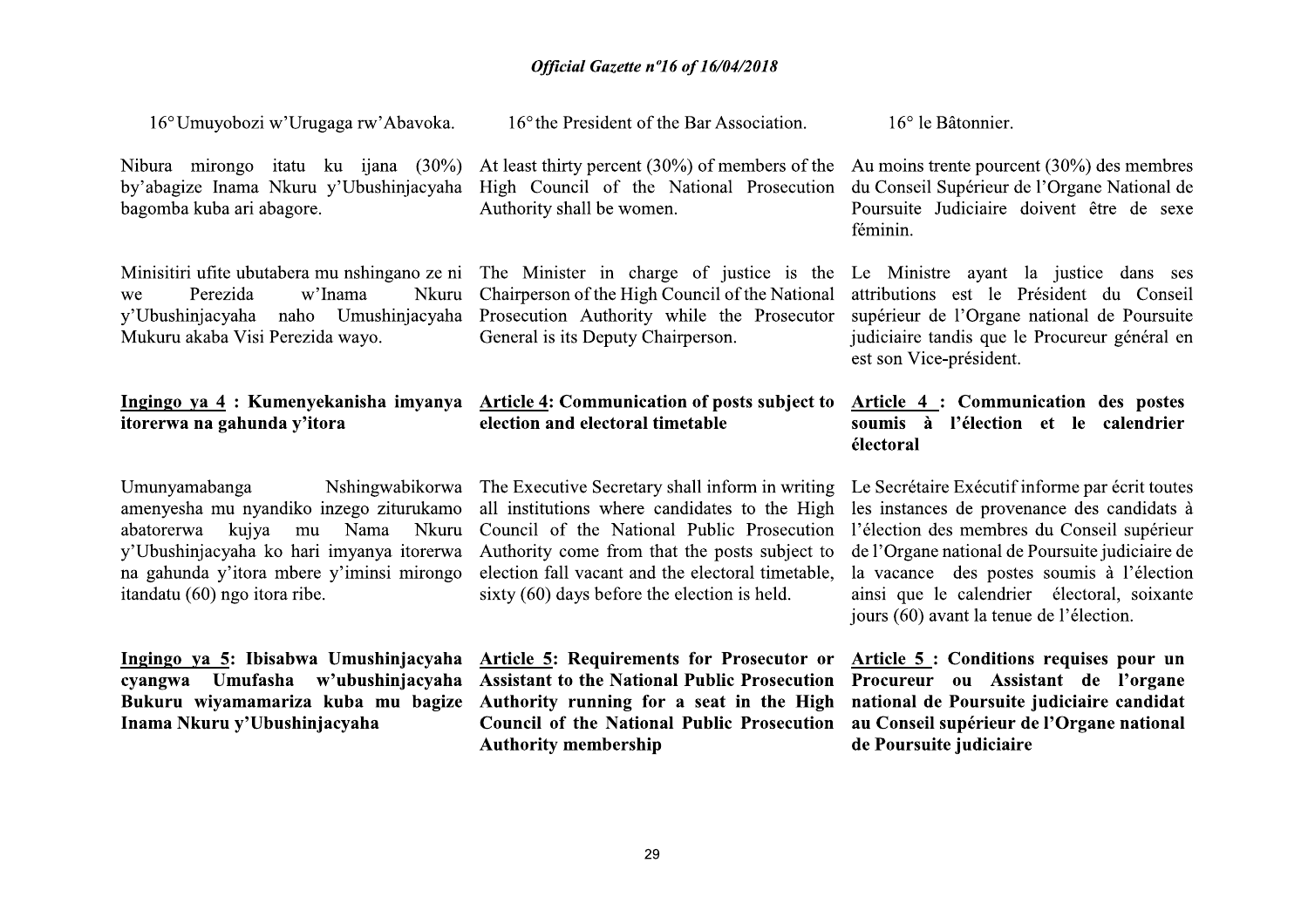16° the President of the Bar Association.

| Nibura mirongo itatu ku ijana (30%)<br>by'abagize Inama Nkuru y'Ubushinjacyaha<br>bagomba kuba ari abagore.    | At least thirty percent $(30\%)$ of members of the<br>High Council of the National Prosecution<br>Authority shall be women.                                                                                                   | Au moins trente pourcent $(30\%)$ des membres<br>du Conseil Supérieur de l'Organe National de<br>Poursuite Judiciaire doivent être de sexe<br>féminin.                                                       |
|----------------------------------------------------------------------------------------------------------------|-------------------------------------------------------------------------------------------------------------------------------------------------------------------------------------------------------------------------------|--------------------------------------------------------------------------------------------------------------------------------------------------------------------------------------------------------------|
| Perezida<br>w'Inama<br>Nkuru<br>we<br>y'Ubushinjacyaha naho Umushinjacyaha<br>Mukuru akaba Visi Perezida wayo. | Minisitiri ufite ubutabera mu nshingano ze ni The Minister in charge of justice is the<br>Chairperson of the High Council of the National<br>Prosecution Authority while the Prosecutor<br>General is its Deputy Chairperson. | Le Ministre ayant la justice dans ses<br>attributions est le Président du Conseil<br>supérieur de l'Organe national de Poursuite<br>judiciaire tandis que le Procureur général en<br>est son Vice-président. |
|                                                                                                                |                                                                                                                                                                                                                               |                                                                                                                                                                                                              |
| Ingingo ya 4 : Kumenyekanisha imyanya<br>itorerwa na gahunda y'itora                                           | Article 4: Communication of posts subject to<br>election and electoral timetable                                                                                                                                              | Article 4 : Communication des postes<br>soumis à l'élection et le calendrier<br>électoral                                                                                                                    |

Inama Nkuru y'Ubushinjacyaha

16° Umuyobozi w'Urugaga rw'Abayoka.

Ingingo ya 5: Ibisabwa Umushinjacyaha Article 5: Requirements for Prosecutor or Article 5: Conditions requises pour un cyangwa Umufasha w'ubushinjacyaha Assistant to the National Public Prosecution Bukuru wiyamamariza kuba mu bagize Authority running for a seat in the High **Council of the National Public Prosecution Authority membership** 

Procureur ou Assistant de l'organe national de Poursuite judiciaire candidat au Conseil supérieur de l'Organe national de Poursuite judiciaire

16° le Bâtonnier.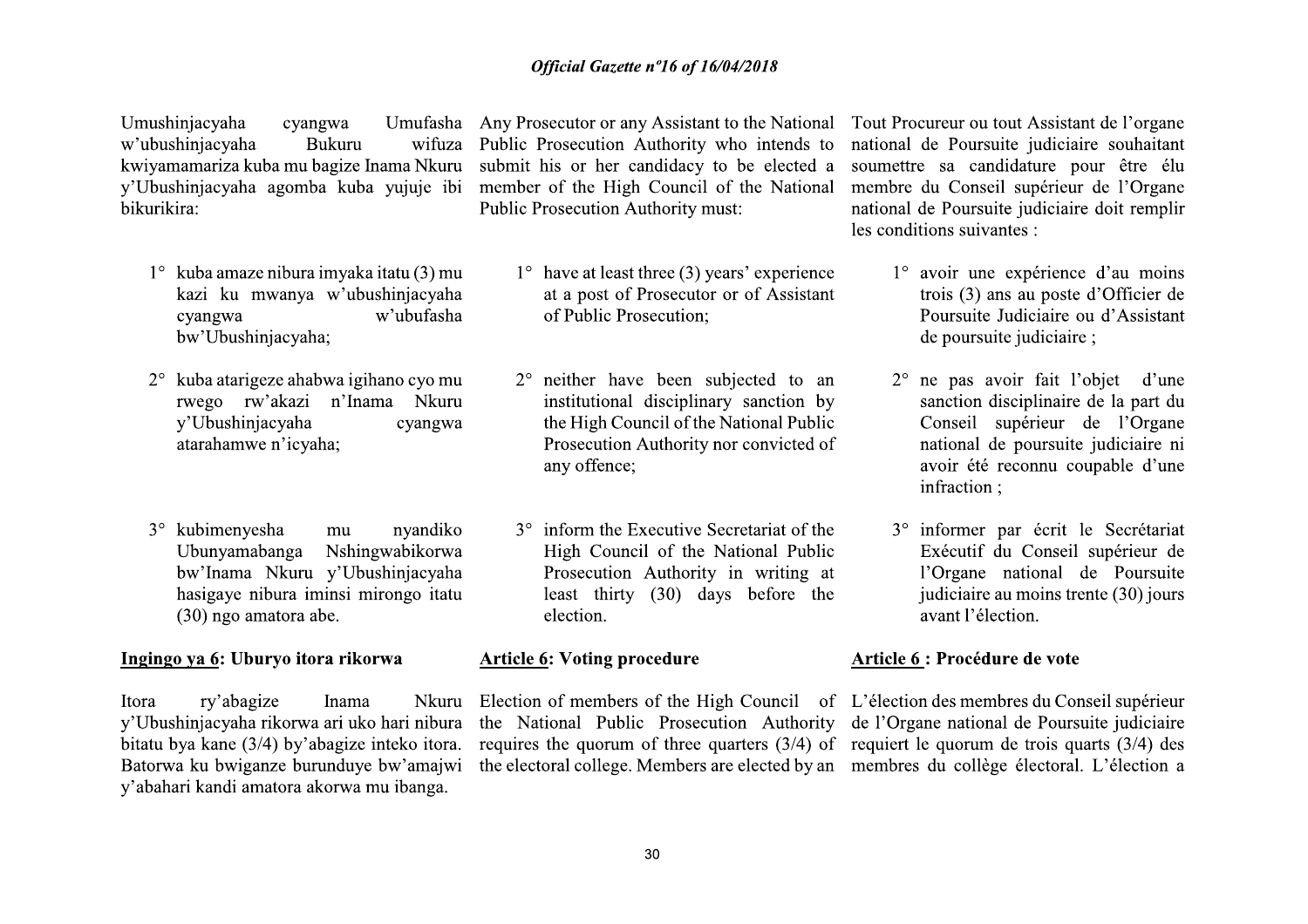Umushinjacyaha cyangwa w'ubushinjacyaha **Bukuru** bikurikira:

- $1^\circ$  kuba amaze nibura imvaka itatu (3) mu kazi ku mwanya w'ubushinjacyaha w'ubufasha cyangwa bw'Ubushinjacyaha;
- 2° kuba atarigeze ahabwa igihano cyo mu rwego rw'akazi n'Inama Nkuru v'Ubushinjacyaha cyangwa atarahamwe n'icvaha:
- 3° kubimenyesha nyandiko mu Ubunyamabanga Nshingwabikorwa bw'Inama Nkuru y'Ubushinjacyaha hasigaye nibura iminsi mirongo itatu (30) ngo amatora abe.

#### Ingingo ya 6: Uburyo itora rikorwa

Itora ry'abagize Inama y'Ubushinjacyaha rikorwa ari uko hari nibura bitatu bya kane (3/4) by'abagize inteko itora. Batorwa ku bwiganze burunduye bw'amajwi y'abahari kandi amatora akorwa mu ibanga.

wifuza Public Prosecution Authority who intends to kwiyamamariza kuba mu bagize Inama Nkuru submit his or her candidacy to be elected a y'Ubushinjacyaha agomba kuba yujuje ibi member of the High Council of the National Public Prosecution Authority must:

- $1^{\circ}$  have at least three (3) years' experience at a post of Prosecutor or of Assistant of Public Prosecution:
- 2° neither have been subjected to an institutional disciplinary sanction by the High Council of the National Public Prosecution Authority nor convicted of any offence;
- 3° inform the Executive Secretariat of the High Council of the National Public Prosecution Authority in writing at least thirty  $(30)$  days before the election.

#### **Article 6: Voting procedure**

Nkuru Election of members of the High Council of L'élection des membres du Conseil supérieur the National Public Prosecution Authority de l'Organe national de Poursuite judiciaire requires the quorum of three quarters  $(3/4)$  of requiert le quorum de trois quarts  $(3/4)$  des the electoral college. Members are elected by an membres du collège électoral. L'élection a

Umufasha Any Prosecutor or any Assistant to the National Tout Procureur ou tout Assistant de l'organe national de Poursuite judiciaire souhaitant soumettre sa candidature pour être élu membre du Conseil supérieur de l'Organe national de Poursuite judiciaire doit remplir les conditions suivantes :

- 1° avoir une expérience d'au moins trois (3) ans au poste d'Officier de Poursuite Judiciaire ou d'Assistant de poursuite judiciaire :
- 2° ne pas avoir fait l'obiet d'une sanction disciplinaire de la part du Conseil supérieur de l'Organe national de poursuite judiciaire ni avoir été reconnu coupable d'une infraction:
- 3° informer par écrit le Secrétariat Exécutif du Conseil supérieur de l'Organe national de Poursuite judiciaire au moins trente (30) jours avant l'élection.

#### **Article 6 : Procédure de vote**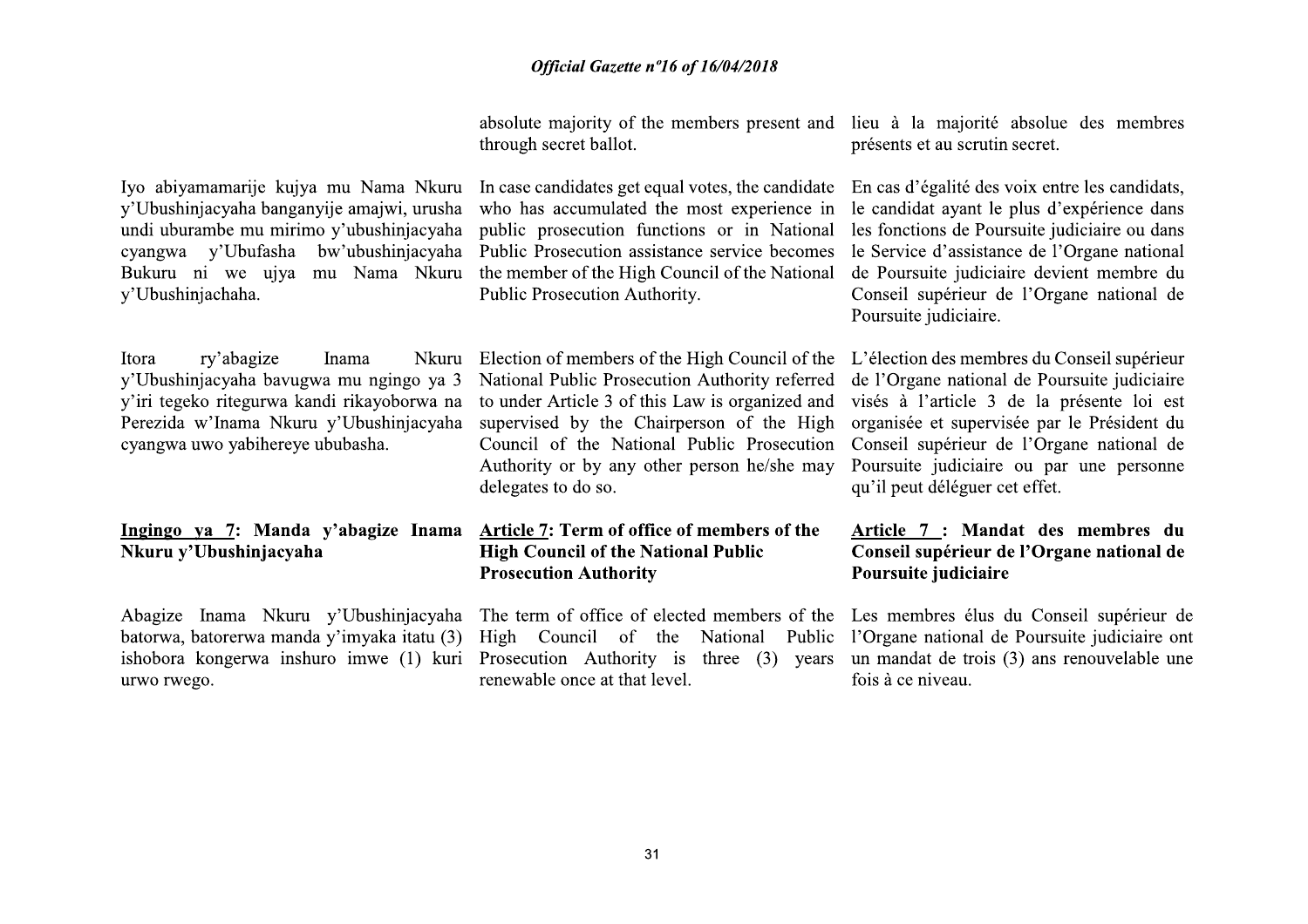through secret ballot.

y'Ubushinjacyaha banganyije amajwi, urusha undi uburambe mu mirimo y'ubushinjacyaha cyangwa y'Ubufasha bw'ubushinjacyaha y'Ubushinjachaha.

ry'abagize Itora **Inama** v'Ubushinjacyaha bayugwa mu ngingo ya 3 y'iri tegeko ritegurwa kandi rikayoborwa na Perezida w'Inama Nkuru y'Ubushinjacyaha cyangwa uwo yabihereye ububasha.

## Ingingo ya 7: Manda y'abagize Inama Nkuru v'Ubushinjacyaha

batorwa, batorerwa manda y'imyaka itatu (3) urwo rwego.

Iyo abiyamamarije kujya mu Nama Nkuru In case candidates get equal votes, the candidate who has accumulated the most experience in public prosecution functions or in National Public Prosecution assistance service becomes Bukuru ni we ujya mu Nama Nkuru the member of the High Council of the National Public Prosecution Authority.

> Nkuru Election of members of the High Council of the National Public Prosecution Authority referred to under Article 3 of this Law is organized and supervised by the Chairperson of the High Council of the National Public Prosecution Authority or by any other person he/she may delegates to do so.

#### Article 7: Term of office of members of the **High Council of the National Public Prosecution Authority**

Abagize Inama Nkuru y'Ubushinjacyaha The term of office of elected members of the Les membres élus du Conseil supérieur de High Council of the National Public ishobora kongerwa inshuro imwe (1) kuri Prosecution Authority is three (3) years renewable once at that level.

absolute majority of the members present and lieu à la majorité absolue des membres présents et au scrutin secret.

> En cas d'égalité des voix entre les candidats, le candidat ayant le plus d'expérience dans les fonctions de Poursuite judiciaire ou dans le Service d'assistance de l'Organe national de Poursuite judiciaire devient membre du Conseil supérieur de l'Organe national de Poursuite judiciaire.

> L'élection des membres du Conseil supérieur de l'Organe national de Poursuite judiciaire visés à l'article 3 de la présente loi est organisée et supervisée par le Président du Conseil supérieur de l'Organe national de Poursuite judiciaire ou par une personne qu'il peut déléguer cet effet.

#### Article 7 : Mandat des membres du Conseil supérieur de l'Organe national de Poursuite judiciaire

l'Organe national de Poursuite judiciaire ont un mandat de trois (3) ans renouvelable une fois à ce niveau.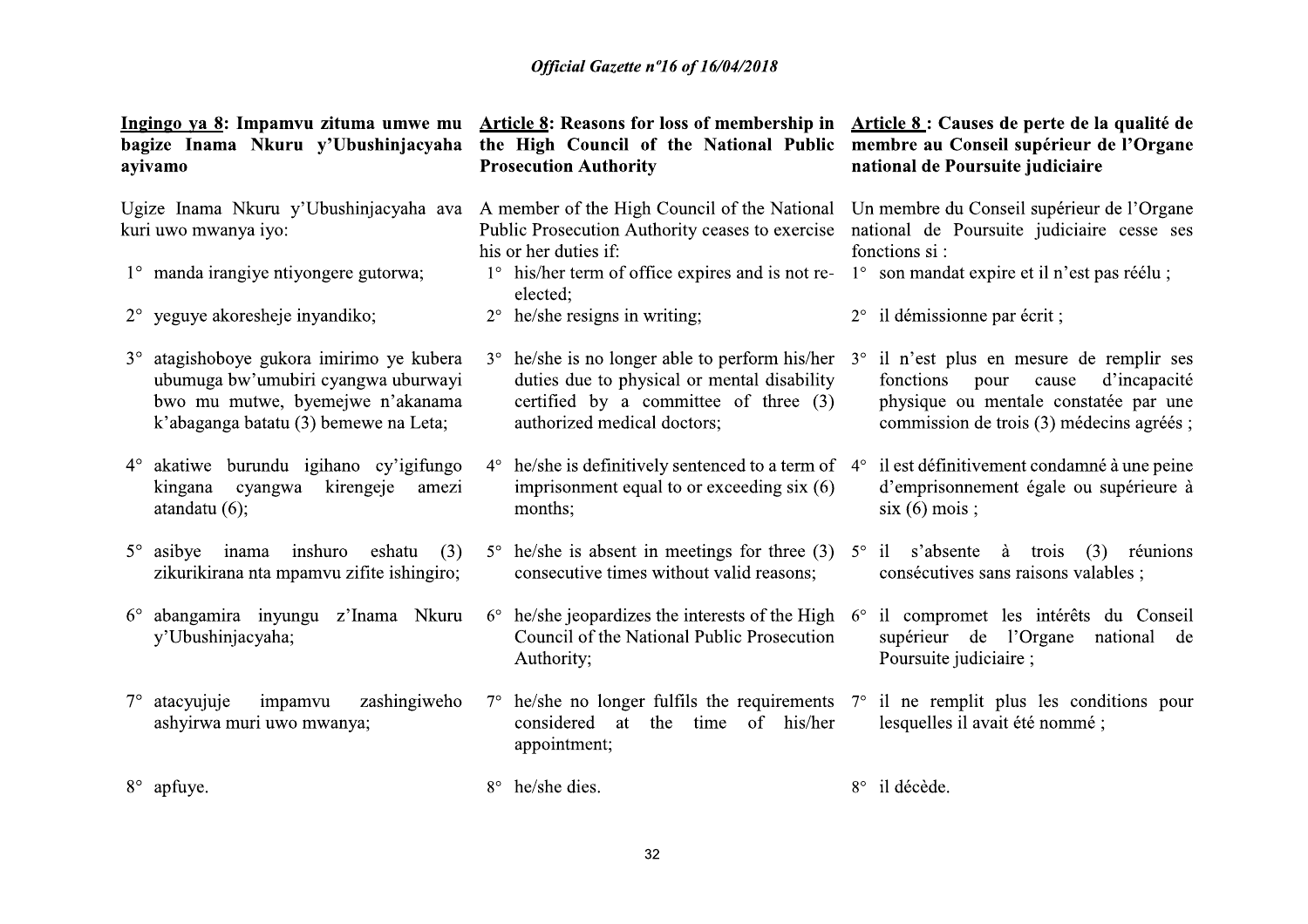| Ingingo ya 8: Impamvu zituma umwe mu<br>bagize Inama Nkuru y'Ubushinjacyaha<br>ayivamo                                                                                 | <b>Article 8: Reasons for loss of membership in</b><br>the High Council of the National Public<br><b>Prosecution Authority</b>                                                                                                    | Article 8 : Causes de perte de la qualité de<br>membre au Conseil supérieur de l'Organe<br>national de Poursuite judiciaire  |
|------------------------------------------------------------------------------------------------------------------------------------------------------------------------|-----------------------------------------------------------------------------------------------------------------------------------------------------------------------------------------------------------------------------------|------------------------------------------------------------------------------------------------------------------------------|
| Ugize Inama Nkuru y'Ubushinjacyaha ava<br>kuri uwo mwanya iyo:                                                                                                         | A member of the High Council of the National<br>Public Prosecution Authority ceases to exercise<br>his or her duties if:                                                                                                          | Un membre du Conseil supérieur de l'Organe<br>national de Poursuite judiciaire cesse ses<br>fonctions si:                    |
| 1° manda irangiye ntiyongere gutorwa;                                                                                                                                  | 1° his/her term of office expires and is not re-<br>elected;                                                                                                                                                                      | 1° son mandat expire et il n'est pas réélu ;                                                                                 |
| 2° yeguye akoresheje inyandiko;                                                                                                                                        | he/she resigns in writing;<br>$2^{\circ}$                                                                                                                                                                                         | 2° il démissionne par écrit;                                                                                                 |
| atagishoboye gukora imirimo ye kubera<br>$3^\circ$<br>ubumuga bw'umubiri cyangwa uburwayi<br>bwo mu mutwe, byemejwe n'akanama<br>k'abaganga batatu (3) bemewe na Leta; | $3^{\circ}$ he/she is no longer able to perform his/her $3^{\circ}$ il n'est plus en mesure de remplir ses<br>duties due to physical or mental disability<br>certified by a committee of three (3)<br>authorized medical doctors; | fonctions pour<br>d'incapacité<br>cause<br>physique ou mentale constatée par une<br>commission de trois (3) médecins agréés; |
| akatiwe burundu igihano cy'igifungo<br>$4^\circ$<br>kirengeje<br>kingana<br>cyangwa<br>amezi<br>atandatu $(6)$ ;                                                       | $4^{\circ}$ he/she is definitively sentenced to a term of $4^{\circ}$ il est définitivement condamné à une peine<br>imprisonment equal to or exceeding six (6)<br>months;                                                         | d'emprisonnement égale ou supérieure à<br>$six(6) \text{ mois};$                                                             |
| $5^\circ$ asibye inama inshuro eshatu<br>(3)<br>zikurikirana nta mpamvu zifite ishingiro;                                                                              | $5^{\circ}$ he/she is absent in meetings for three (3) $5^{\circ}$ il s'absente à trois (3) réunions<br>consecutive times without valid reasons;                                                                                  | consécutives sans raisons valables;                                                                                          |
| abangamira inyungu z'Inama Nkuru<br>$6^{\circ}$<br>y'Ubushinjacyaha;                                                                                                   | $6^{\circ}$ he/she jeopardizes the interests of the High $6^{\circ}$<br>Council of the National Public Prosecution<br>Authority;                                                                                                  | il compromet les intérêts du Conseil<br>supérieur de l'Organe national de<br>Poursuite judiciaire;                           |
| zashingiweho<br>atacyujuje<br>impamvu<br>$7^{\circ}$<br>ashyirwa muri uwo mwanya;                                                                                      | $7^{\circ}$ he/she no longer fulfils the requirements $7^{\circ}$ il ne remplit plus les conditions pour<br>considered<br>of his/her<br>at the time<br>appointment;                                                               | lesquelles il avait été nommé ;                                                                                              |
| 8° apfuye.                                                                                                                                                             | 8° he/she dies.                                                                                                                                                                                                                   | 8° il décède.                                                                                                                |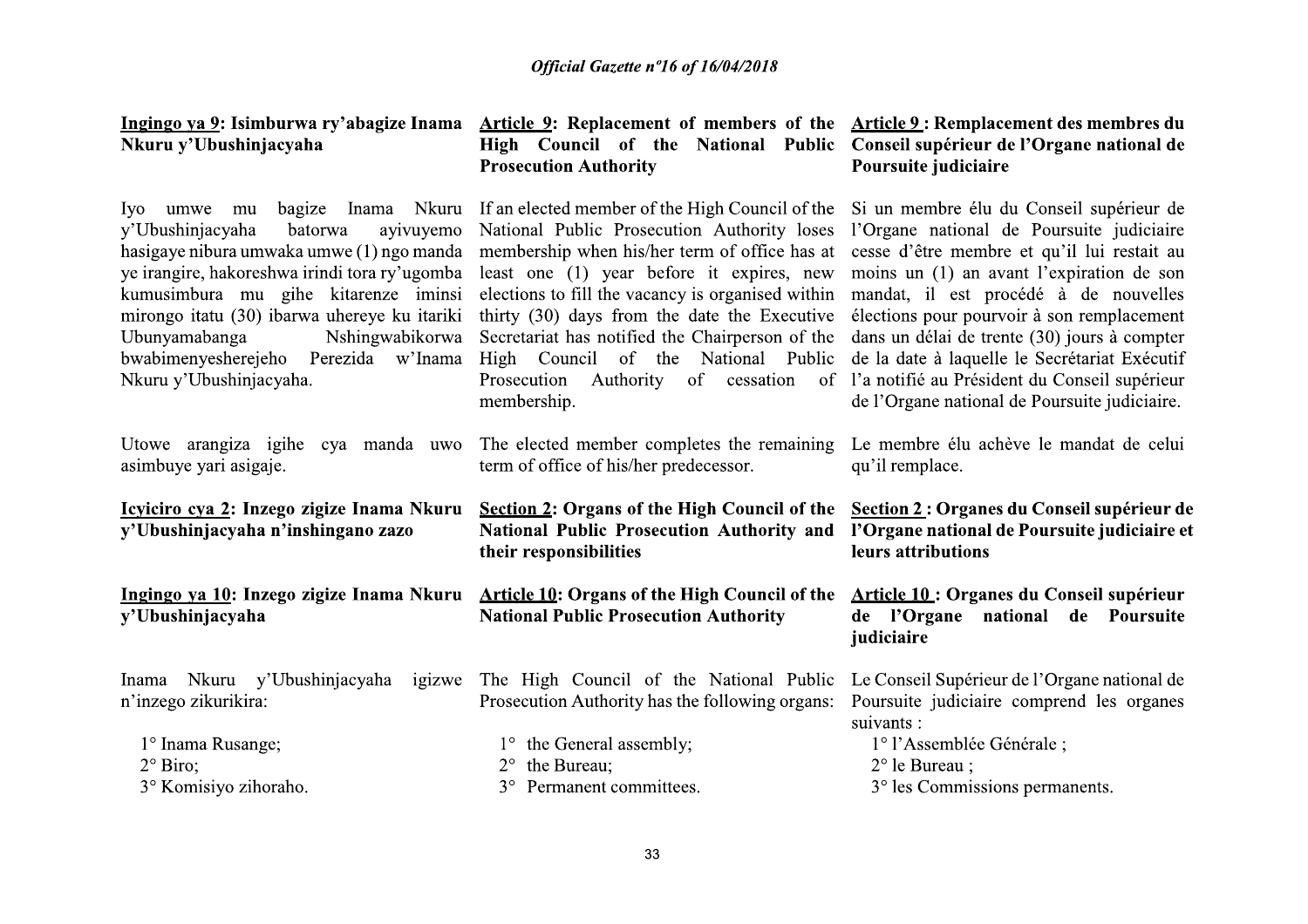| Nkuru y'Ubushinjacyaha                                                                                                                                                                                                                                                                                                                                                                 | Ingingo ya 9: Isimburwa ry'abagize Inama Article 9: Replacement of members of the Article 9: Remplacement des membres du<br>High Council of the National Public<br><b>Prosecution Authority</b>                                                                                                                                                                                                                                                                 | Conseil supérieur de l'Organe national de<br>Poursuite judiciaire                                                                                                                                                                                                                                                                                                                                                                                                           |
|----------------------------------------------------------------------------------------------------------------------------------------------------------------------------------------------------------------------------------------------------------------------------------------------------------------------------------------------------------------------------------------|-----------------------------------------------------------------------------------------------------------------------------------------------------------------------------------------------------------------------------------------------------------------------------------------------------------------------------------------------------------------------------------------------------------------------------------------------------------------|-----------------------------------------------------------------------------------------------------------------------------------------------------------------------------------------------------------------------------------------------------------------------------------------------------------------------------------------------------------------------------------------------------------------------------------------------------------------------------|
| bagize<br>Inama<br>Nkuru<br>Iyo<br>umwe mu<br>y'Ubushinjacyaha<br>batorwa<br>ayivuyemo<br>hasigaye nibura umwaka umwe (1) ngo manda<br>ye irangire, hakoreshwa irindi tora ry'ugomba<br>kumusimbura mu gihe kitarenze iminsi<br>mirongo itatu (30) ibarwa uhereye ku itariki<br>Ubunyamabanga<br>Nshingwabikorwa<br>bwabimenyesherejeho<br>Perezida w'Inama<br>Nkuru y'Ubushinjacyaha. | If an elected member of the High Council of the<br>National Public Prosecution Authority loses<br>membership when his/her term of office has at<br>least one (1) year before it expires, new<br>elections to fill the vacancy is organised within<br>thirty (30) days from the date the Executive<br>Secretariat has notified the Chairperson of the<br>High Council of the National Public<br>of<br>Prosecution<br>Authority<br>cessation<br>of<br>membership. | Si un membre élu du Conseil supérieur de<br>l'Organe national de Poursuite judiciaire<br>cesse d'être membre et qu'il lui restait au<br>moins un (1) an avant l'expiration de son<br>mandat, il est procédé à de nouvelles<br>élections pour pourvoir à son remplacement<br>dans un délai de trente (30) jours à compter<br>de la date à laquelle le Secrétariat Exécutif<br>l'a notifié au Président du Conseil supérieur<br>de l'Organe national de Poursuite judiciaire. |
| Utowe arangiza igihe cya manda uwo<br>asimbuye yari asigaje.                                                                                                                                                                                                                                                                                                                           | The elected member completes the remaining<br>term of office of his/her predecessor.                                                                                                                                                                                                                                                                                                                                                                            | Le membre élu achève le mandat de celui<br>qu'il remplace.                                                                                                                                                                                                                                                                                                                                                                                                                  |
| Icyiciro cya 2: Inzego zigize Inama Nkuru<br>y'Ubushinjacyaha n'inshingano zazo                                                                                                                                                                                                                                                                                                        | <b>Section 2: Organs of the High Council of the</b><br>National Public Prosecution Authority and<br>their responsibilities                                                                                                                                                                                                                                                                                                                                      | Section 2 : Organes du Conseil supérieur de<br>l'Organe national de Poursuite judiciaire et<br>leurs attributions                                                                                                                                                                                                                                                                                                                                                           |
| Ingingo ya 10: Inzego zigize Inama Nkuru<br>y'Ubushinjacyaha                                                                                                                                                                                                                                                                                                                           | <b>Article 10: Organs of the High Council of the</b><br><b>National Public Prosecution Authority</b>                                                                                                                                                                                                                                                                                                                                                            | Article 10 : Organes du Conseil supérieur<br>de l'Organe<br>national de Poursuite<br>judiciaire                                                                                                                                                                                                                                                                                                                                                                             |
| Nkuru y'Ubushinjacyaha<br>igizwe<br>Inama<br>n'inzego zikurikira:<br>1° Inama Rusange;<br>$2°$ Biro;                                                                                                                                                                                                                                                                                   | The High Council of the National Public<br>Prosecution Authority has the following organs:<br>1° the General assembly;<br>the Bureau;                                                                                                                                                                                                                                                                                                                           | Le Conseil Supérieur de l'Organe national de<br>Poursuite judiciaire comprend les organes<br>suivants :<br>1° l'Assemblée Générale;<br>$2^{\circ}$ le Bureau ;                                                                                                                                                                                                                                                                                                              |
| 3° Komisiyo zihoraho.                                                                                                                                                                                                                                                                                                                                                                  | Permanent committees.<br>$3^\circ$                                                                                                                                                                                                                                                                                                                                                                                                                              | 3° les Commissions permanents.                                                                                                                                                                                                                                                                                                                                                                                                                                              |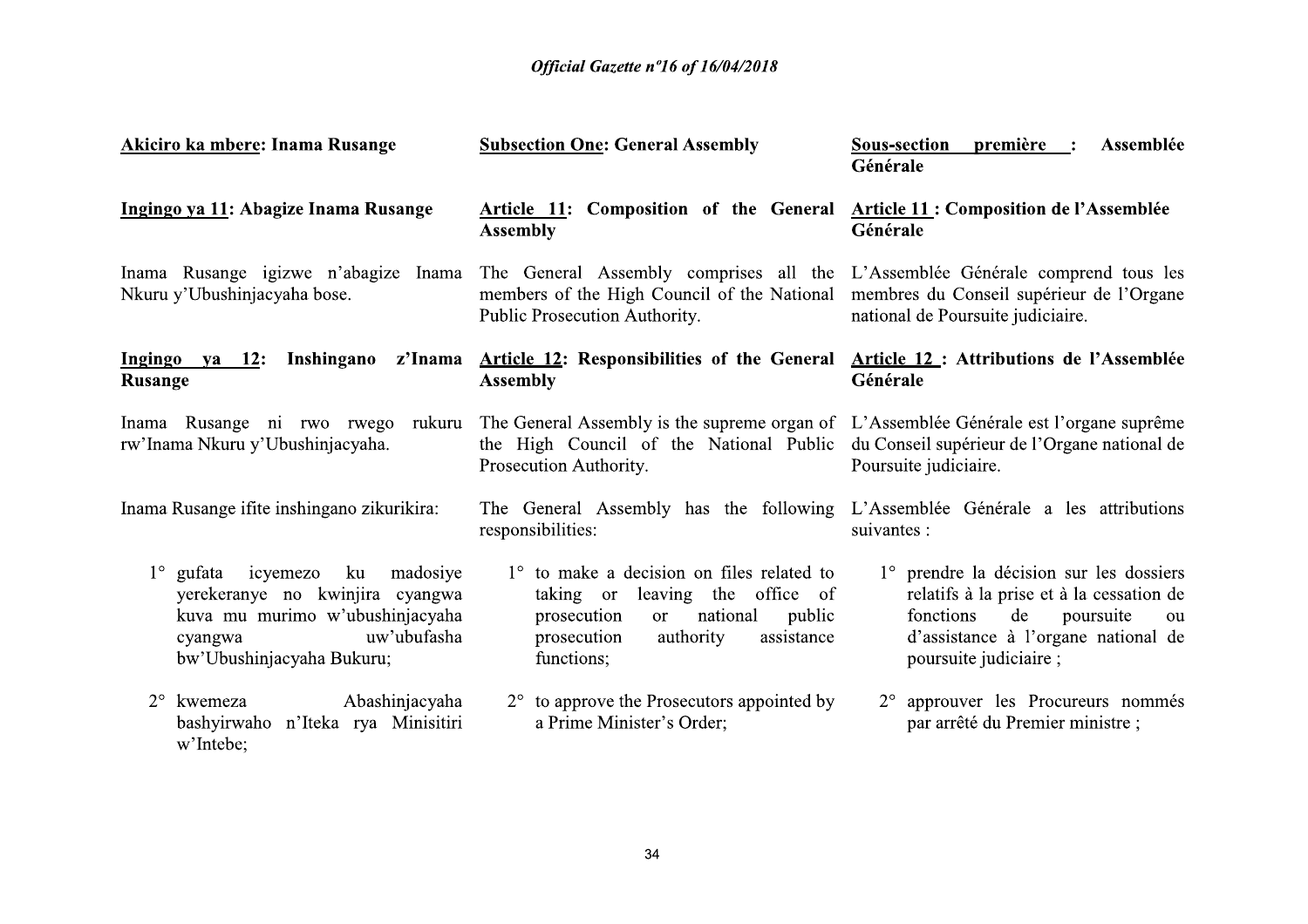| <b>Akiciro ka mbere: Inama Rusange</b>                                                                                                                                     | <b>Subsection One: General Assembly</b>                                                                                                                                                                                                     | première :<br>Assemblée<br>Sous-section<br>Générale                                                                                                                                       |
|----------------------------------------------------------------------------------------------------------------------------------------------------------------------------|---------------------------------------------------------------------------------------------------------------------------------------------------------------------------------------------------------------------------------------------|-------------------------------------------------------------------------------------------------------------------------------------------------------------------------------------------|
| Ingingo ya 11: Abagize Inama Rusange                                                                                                                                       | Article 11: Composition of the General Article 11: Composition de l'Assemblée<br><b>Assembly</b>                                                                                                                                            | Générale                                                                                                                                                                                  |
| Nkuru y'Ubushinjacyaha bose.                                                                                                                                               | Inama Rusange igizwe n'abagize Inama The General Assembly comprises all the L'Assemblée Générale comprend tous les<br>members of the High Council of the National membres du Conseil supérieur de l'Organe<br>Public Prosecution Authority. | national de Poursuite judiciaire.                                                                                                                                                         |
| Ingingo<br><b>Rusange</b>                                                                                                                                                  | ya 12: Inshingano z'Inama Article 12: Responsibilities of the General Article 12: Attributions de l'Assemblée<br><b>Assembly</b>                                                                                                            | Générale                                                                                                                                                                                  |
| rw'Inama Nkuru y'Ubushinjacyaha.                                                                                                                                           | Inama Rusange ni rwo rwego rukuru The General Assembly is the supreme organ of L'Assemblée Générale est l'organe suprême<br>the High Council of the National Public du Conseil supérieur de l'Organe national de<br>Prosecution Authority.  | Poursuite judiciaire.                                                                                                                                                                     |
| Inama Rusange ifite inshingano zikurikira:                                                                                                                                 | The General Assembly has the following L'Assemblée Générale a les attributions<br>responsibilities:                                                                                                                                         | suivantes :                                                                                                                                                                               |
| $1^{\circ}$ gufata<br>icyemezo<br>ku madosiye<br>yerekeranye no kwinjira cyangwa<br>kuva mu murimo w'ubushinjacyaha<br>uw'ubufasha<br>cyangwa<br>bw'Ubushinjacyaha Bukuru; | $1^\circ$ to make a decision on files related to<br>taking or leaving the office of<br>national<br>public<br>prosecution<br><sub>or</sub><br>prosecution<br>authority<br>assistance<br>functions;                                           | 1° prendre la décision sur les dossiers<br>relatifs à la prise et à la cessation de<br>fonctions<br>poursuite<br>de<br>ou<br>d'assistance à l'organe national de<br>poursuite judiciaire; |
| kwemeza<br>Abashinjacyaha<br>$2^{\circ}$<br>bashyirwaho n'Iteka rya Minisitiri<br>w'Intebe;                                                                                | $2^{\circ}$ to approve the Prosecutors appointed by<br>a Prime Minister's Order;                                                                                                                                                            | 2° approuver les Procureurs nommés<br>par arrêté du Premier ministre ;                                                                                                                    |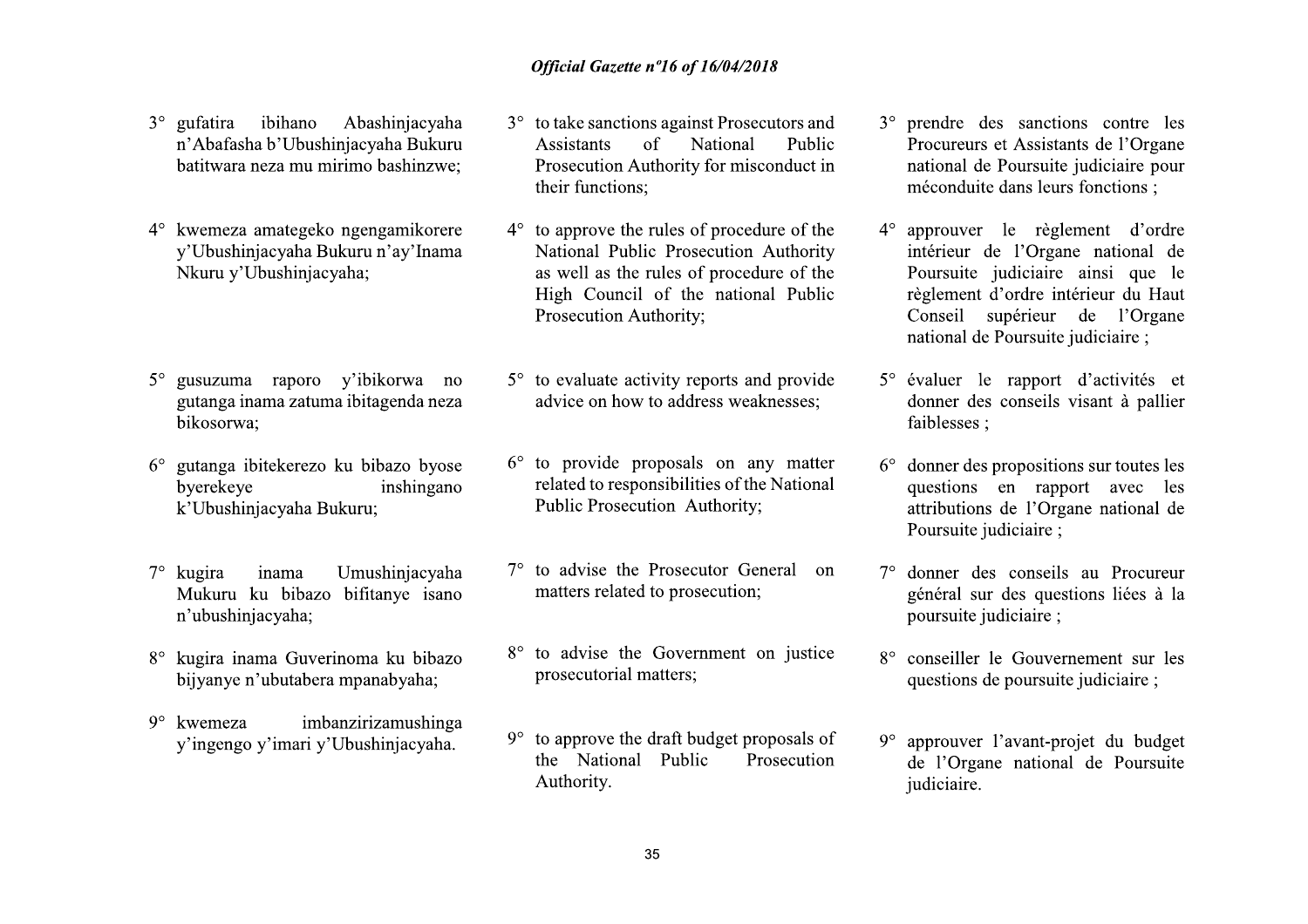- $3^\circ$  gufatira ibihano Abashinjacyaha n'Abafasha b'Ubushinjacyaha Bukuru batitwara neza mu mirimo bashinzwe:
- 4° kwemeza amategeko ngengamikorere y'Ubushinjacyaha Bukuru n'ay'Inama Nkuru y'Ubushinjacyaha:
- gusuzuma raporo v'ibikorwa no  $5^\circ$ gutanga inama zatuma ibitagenda neza bikosorwa;
- gutanga ibitekerezo ku bibazo byose  $6^{\circ}$ byerekeye inshingano k'Ubushinjacyaha Bukuru;
- Umushinjacyaha  $7^\circ$  kugira inama Mukuru ku bibazo bifitanye isano n'ubushinjacyaha;
- 8° kugira inama Guverinoma ku bibazo bijyanye n'ubutabera mpanabyaha;
- imbanzirizamushinga  $9^\circ$  kwemeza y'ingengo y'imari y'Ubushinjacyaha.
- 3° to take sanctions against Prosecutors and National **Assistants**  $\sigma$ Public Prosecution Authority for misconduct in their functions:
- to approve the rules of procedure of the  $4^\circ$ National Public Prosecution Authority as well as the rules of procedure of the High Council of the national Public Prosecution Authority;
- $5^\circ$  to evaluate activity reports and provide advice on how to address weaknesses:
- $6^{\circ}$  to provide proposals on any matter related to responsibilities of the National Public Prosecution Authority;
- $7^\circ$  to advise the Prosecutor General on matters related to prosecution;
- 8° to advise the Government on justice prosecutorial matters;
- to approve the draft budget proposals of  $9^\circ$ the National Public Prosecution Authority.
- 3° prendre des sanctions contre les Procureurs et Assistants de l'Organe national de Poursuite judiciaire pour méconduite dans leurs fonctions :
- 4° approuver le règlement d'ordre intérieur de l'Organe national de Poursuite judiciaire ainsi que le règlement d'ordre intérieur du Haut Conseil supérieur de l'Organe national de Poursuite judiciaire ;
- 5° évaluer le rapport d'activités et donner des conseils visant à pallier faiblesses:
- $6^{\circ}$  donner des propositions sur toutes les questions en rapport avec les attributions de l'Organe national de Poursuite judiciaire ;
- 7° donner des conseils au Procureur général sur des questions liées à la poursuite judiciaire ;
- 8° conseiller le Gouvernement sur les questions de poursuite judiciaire ;
- approuver l'avant-projet du budget  $9^\circ$ de l'Organe national de Poursuite judiciaire.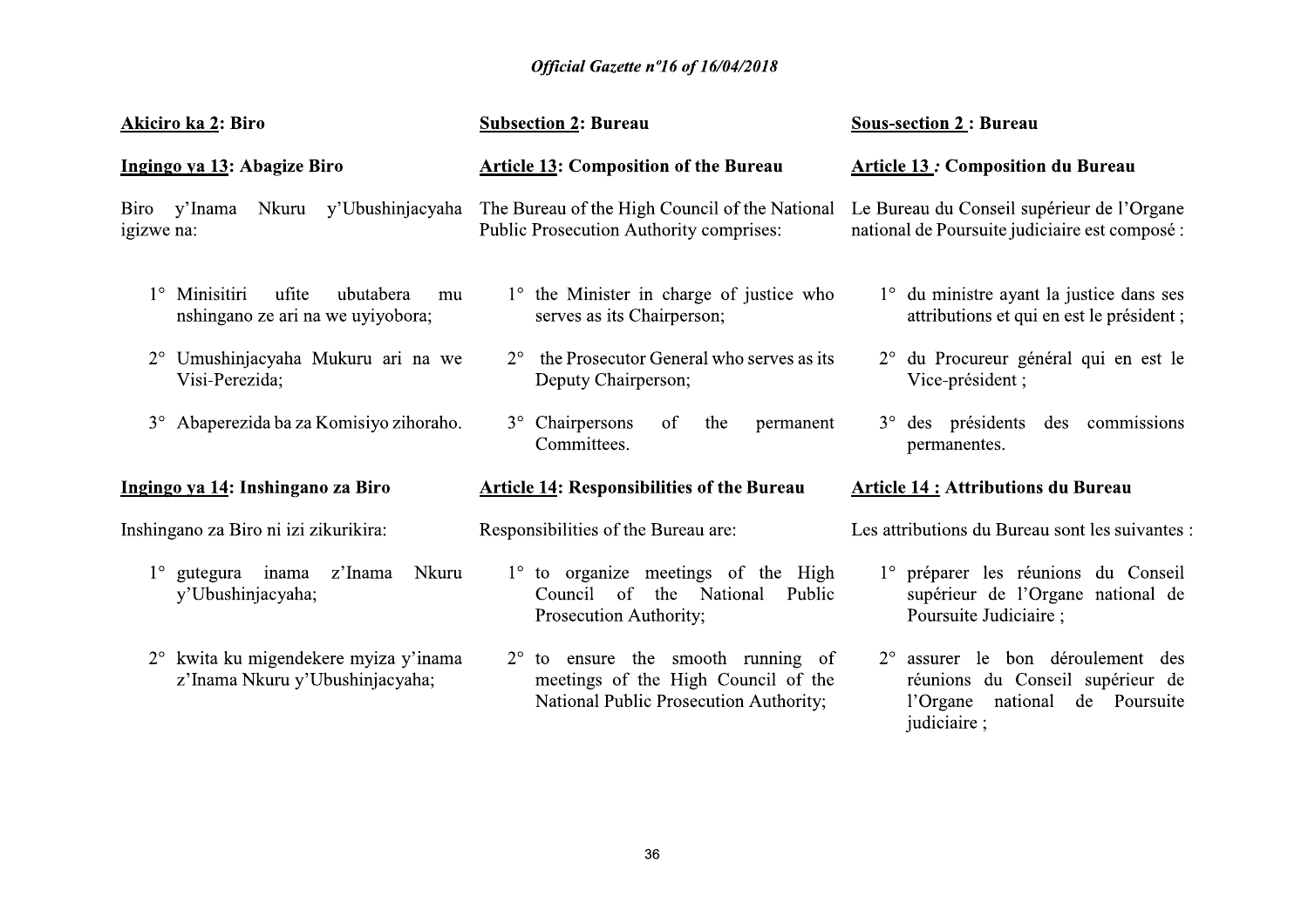|                                                                                | Official Gazette nº16 of 16/04/2018                                                                                          |                                                                                                                        |
|--------------------------------------------------------------------------------|------------------------------------------------------------------------------------------------------------------------------|------------------------------------------------------------------------------------------------------------------------|
| Akiciro ka 2: Biro                                                             | <b>Subsection 2: Bureau</b>                                                                                                  | <b>Sous-section 2: Bureau</b>                                                                                          |
| Ingingo ya 13: Abagize Biro                                                    | <b>Article 13: Composition of the Bureau</b>                                                                                 | <b>Article 13: Composition du Bureau</b>                                                                               |
| Nkuru y'Ubushinjacyaha<br>Biro y'Inama<br>igizwe na:                           | The Bureau of the High Council of the National<br>Public Prosecution Authority comprises:                                    | Le Bureau du Conseil supérieur de l'Organe<br>national de Poursuite judiciaire est composé :                           |
| 1° Minisitiri<br>ufite<br>ubutabera<br>mu<br>nshingano ze ari na we uyiyobora; | 1° the Minister in charge of justice who<br>serves as its Chairperson;                                                       | 1° du ministre ayant la justice dans ses<br>attributions et qui en est le président ;                                  |
| 2° Umushinjacyaha Mukuru ari na we<br>Visi-Perezida;                           | the Prosecutor General who serves as its<br>$2^{\circ}$<br>Deputy Chairperson;                                               | 2° du Procureur général qui en est le<br>Vice-président;                                                               |
| 3° Abaperezida ba za Komisiyo zihoraho.                                        | 3° Chairpersons<br>of<br>the<br>permanent<br>Committees.                                                                     | 3° des présidents des commissions<br>permanentes.                                                                      |
| Ingingo ya 14: Inshingano za Biro                                              | <b>Article 14: Responsibilities of the Bureau</b>                                                                            | <b>Article 14: Attributions du Bureau</b>                                                                              |
| Inshingano za Biro ni izi zikurikira:                                          | Responsibilities of the Bureau are:                                                                                          | Les attributions du Bureau sont les suivantes :                                                                        |
| gutegura inama z'Inama<br>Nkuru<br>$1^{\circ}$<br>y'Ubushinjacyaha;            | 1° to organize meetings of the High<br>Council of the National Public<br>Prosecution Authority;                              | 1° préparer les réunions du Conseil<br>supérieur de l'Organe national de<br>Poursuite Judiciaire;                      |
| 2° kwita ku migendekere myiza y'inama<br>z'Inama Nkuru y'Ubushinjacyaha;       | $2^{\circ}$ to ensure the smooth running of<br>meetings of the High Council of the<br>National Public Prosecution Authority; | 2° assurer le bon déroulement des<br>réunions du Conseil supérieur de<br>l'Organe national de Poursuite<br>judiciaire; |
|                                                                                |                                                                                                                              |                                                                                                                        |
|                                                                                |                                                                                                                              |                                                                                                                        |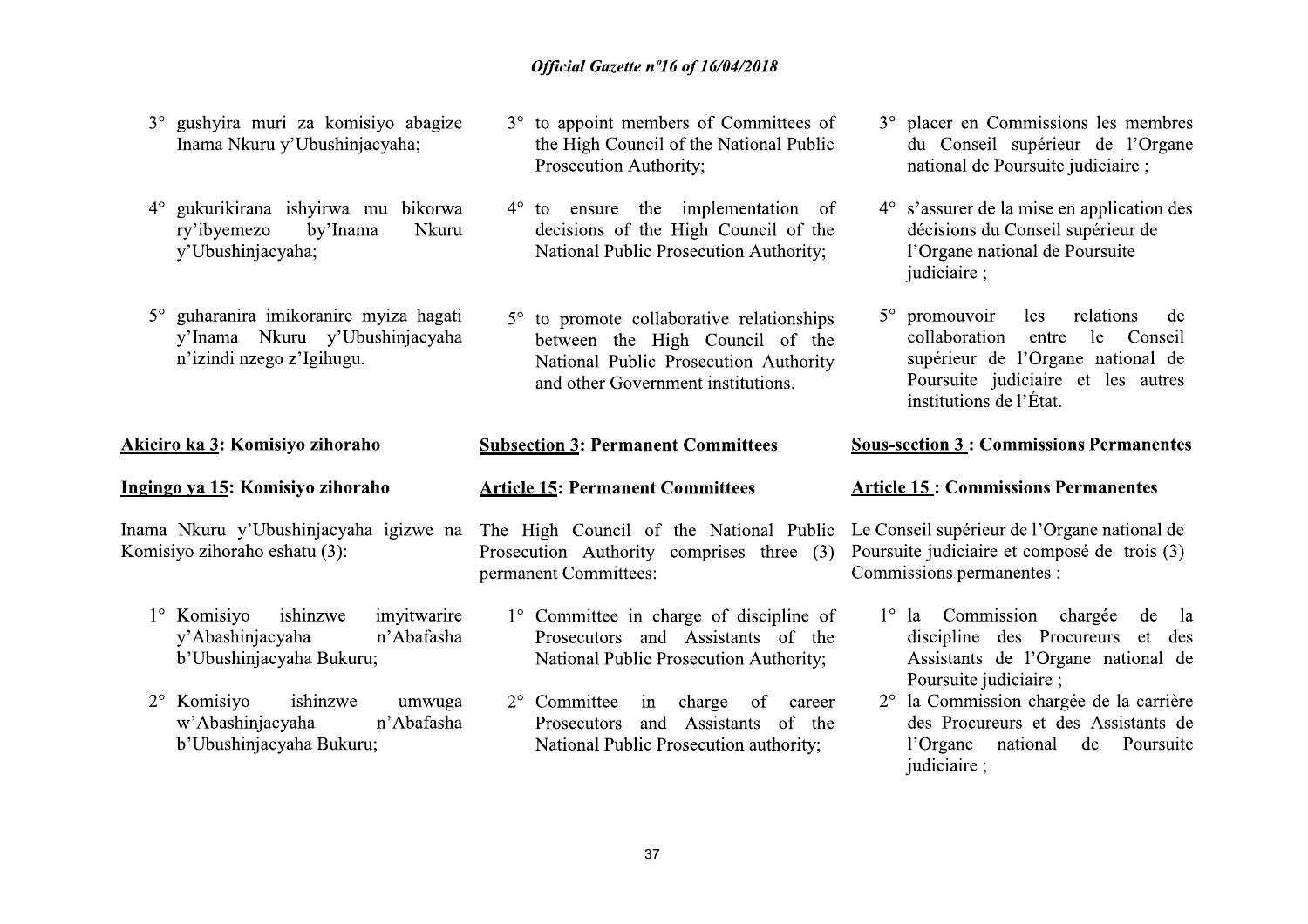- 3° gushyira muri za komisiyo abagize Inama Nkuru y'Ubushinjacyaha;
- 4° gukurikirana ishyirwa mu bikorwa ry'ibyemezo by'Inama Nkuru y'Ubushinjacyaha;
- 5° guharanira imikoranire myiza hagati y'Inama Nkuru y'Ubushinjacyaha n'izindi nzego z'Igihugu.

#### Akiciro ka 3: Komisiyo zihoraho

#### Ingingo ya 15: Komisiyo zihoraho

Komisiyo zihoraho eshatu (3):

- 1° Komisiyo ishinzwe imvitwarire y'Abashinjacyaha n'Abafasha b'Ubushinjacyaha Bukuru;
- 2° Komisiyo ishinzwe umwuga w'Abashinjacyaha n'Abafasha b'Ubushinjacyaha Bukuru;
- 3° to appoint members of Committees of the High Council of the National Public Prosecution Authority;
- $4^{\circ}$  to ensure the implementation of decisions of the High Council of the National Public Prosecution Authority;
- $5^\circ$  to promote collaborative relationships between the High Council of the National Public Prosecution Authority and other Government institutions.

#### **Subsection 3: Permanent Committees**

#### **Article 15: Permanent Committees**

Inama Nkuru y'Ubushinjacyaha igizwe na The High Council of the National Public Prosecution Authority comprises three (3) permanent Committees:

- 1° Committee in charge of discipline of Prosecutors and Assistants of the National Public Prosecution Authority;
- 2° Committee in charge of career Prosecutors and Assistants of the National Public Prosecution authority;
- 3° placer en Commissions les membres du Conseil supérieur de l'Organe national de Poursuite judiciaire :
- $4^{\circ}$  s'assurer de la mise en application des décisions du Conseil supérieur de l'Organe national de Poursuite iudiciaire:
- $5^\circ$  promouvoir les relations de collaboration entre le Conseil supérieur de l'Organe national de Poursuite judiciaire et les autres institutions de l'État.

#### **Sous-section 3: Commissions Permanentes**

#### **Article 15: Commissions Permanentes**

Le Conseil supérieur de l'Organe national de Poursuite judiciaire et composé de trois (3) Commissions permanentes :

- $1^\circ$  la Commission chargée de - la discipline des Procureurs et des Assistants de l'Organe national de Poursuite judiciaire ;
- 2° la Commission chargée de la carrière des Procureurs et des Assistants de l'Organe national de Poursuite judiciaire ;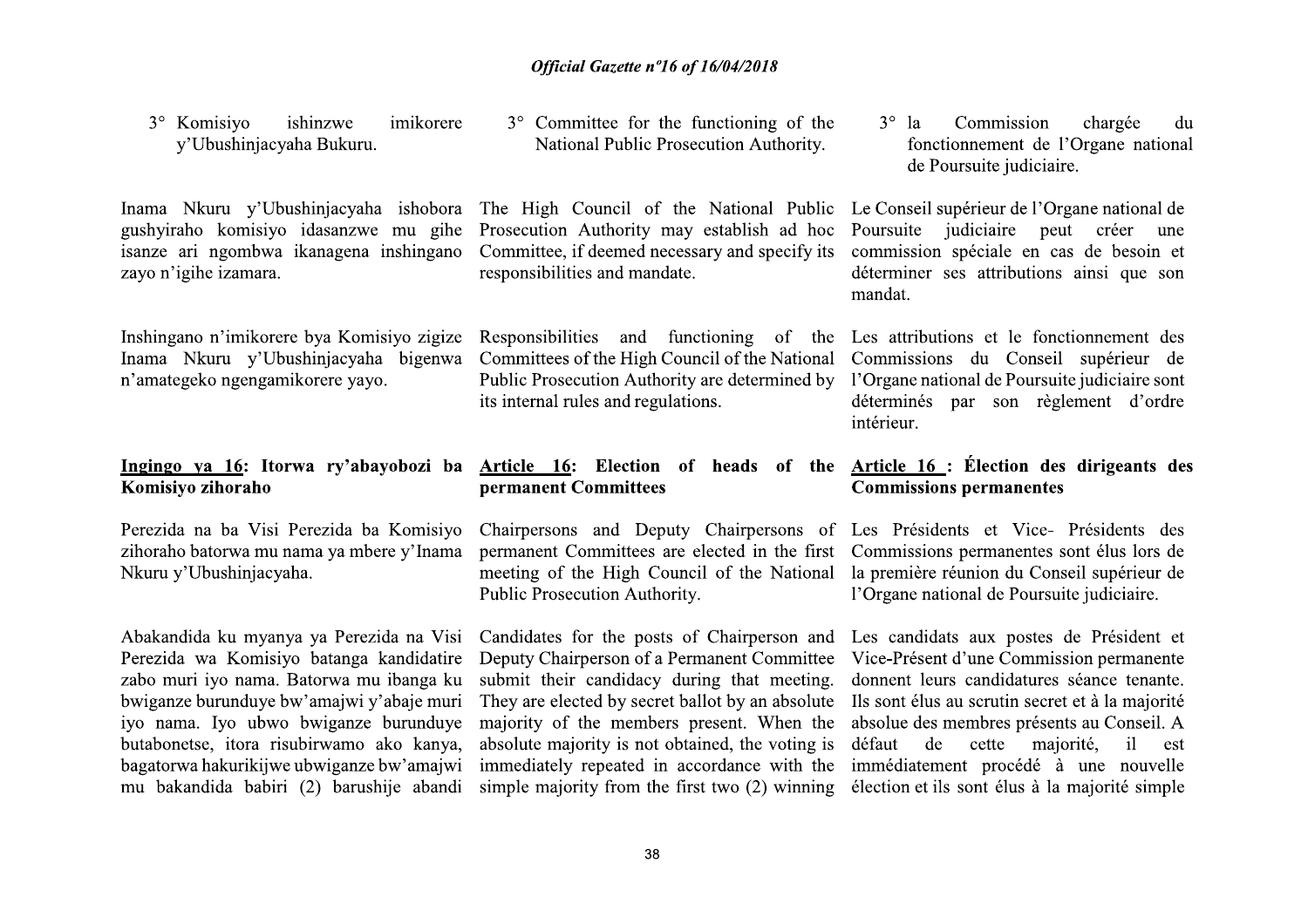| 3° Komisiyo<br>ishinzwe<br>imikorere<br>y'Ubushinjacyaha Bukuru.                                                                                   | 3° Committee for the functioning of the<br>National Public Prosecution Authority.                                                                                                                                                                         | $3^\circ$ la<br>Commission<br>chargée<br>du<br>fonctionnement de l'Organe national<br>de Poursuite judiciaire.                                                                                     |
|----------------------------------------------------------------------------------------------------------------------------------------------------|-----------------------------------------------------------------------------------------------------------------------------------------------------------------------------------------------------------------------------------------------------------|----------------------------------------------------------------------------------------------------------------------------------------------------------------------------------------------------|
| Inama Nkuru y'Ubushinjacyaha ishobora<br>gushyiraho komisiyo idasanzwe mu gihe<br>isanze ari ngombwa ikanagena inshingano<br>zayo n'igihe izamara. | The High Council of the National Public<br>Prosecution Authority may establish ad hoc<br>Committee, if deemed necessary and specify its<br>responsibilities and mandate.                                                                                  | Le Conseil supérieur de l'Organe national de<br>judiciaire<br>peut<br>Poursuite<br>créer<br>une<br>commission spéciale en cas de besoin et<br>déterminer ses attributions ainsi que son<br>mandat. |
| Inshingano n'imikorere bya Komisiyo zigize<br>Inama Nkuru y'Ubushinjacyaha bigenwa<br>n'amategeko ngengamikorere yayo.                             | Responsibilities<br>and functioning<br><sub>of</sub><br>the<br>Committees of the High Council of the National<br>Public Prosecution Authority are determined by<br>its internal rules and regulations.                                                    | Les attributions et le fonctionnement des<br>Commissions du Conseil supérieur de<br>l'Organe national de Poursuite judiciaire sont<br>déterminés par son règlement d'ordre<br>intérieur.           |
|                                                                                                                                                    |                                                                                                                                                                                                                                                           |                                                                                                                                                                                                    |
| Komisiyo zihoraho                                                                                                                                  | Ingingo ya 16: Itorwa ry'abayobozi ba Article 16: Election of heads of the<br>permanent Committees                                                                                                                                                        | Article 16 : Élection des dirigeants des<br><b>Commissions permanentes</b>                                                                                                                         |
| Perezida na ba Visi Perezida ba Komisiyo<br>zihoraho batorwa mu nama ya mbere y'Inama<br>Nkuru y'Ubushinjacyaha.                                   | Chairpersons and Deputy Chairpersons of Les Présidents et Vice- Présidents des<br>permanent Committees are elected in the first Commissions permanentes sont élus lors de<br>meeting of the High Council of the National<br>Public Prosecution Authority. | la première réunion du Conseil supérieur de<br>l'Organe national de Poursuite judiciaire.                                                                                                          |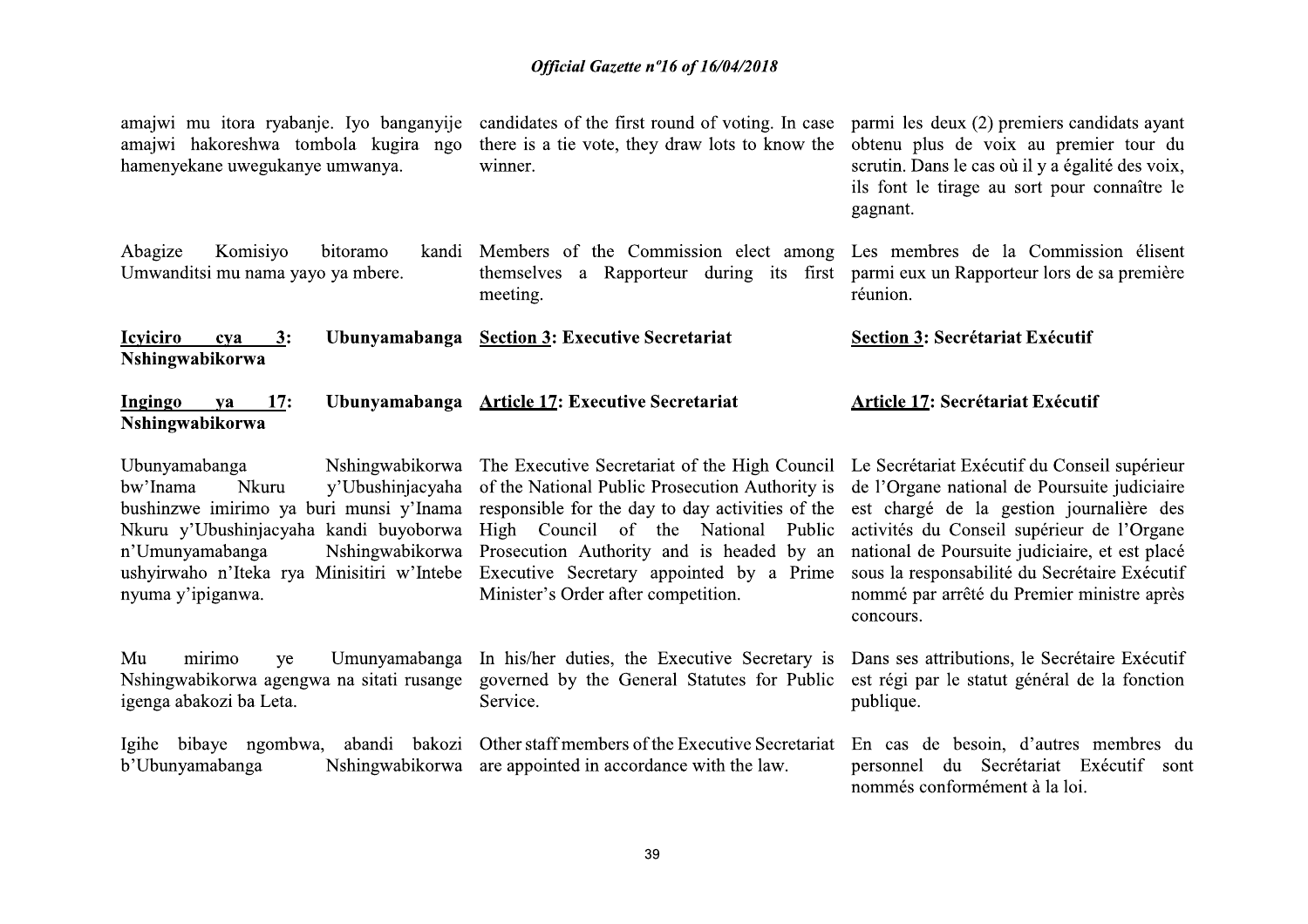| amajwi mu itora ryabanje. Iyo banganyije<br>amajwi hakoreshwa tombola kugira ngo<br>hamenyekane uwegukanye umwanya.                                                                                                                                                     | candidates of the first round of voting. In case<br>there is a tie vote, they draw lots to know the<br>winner.                                                                                                                                                                                                              | parmi les deux (2) premiers candidats ayant<br>obtenu plus de voix au premier tour du<br>scrutin. Dans le cas où il y a égalité des voix,<br>ils font le tirage au sort pour connaître le<br>gagnant.                                                                                                                                                |
|-------------------------------------------------------------------------------------------------------------------------------------------------------------------------------------------------------------------------------------------------------------------------|-----------------------------------------------------------------------------------------------------------------------------------------------------------------------------------------------------------------------------------------------------------------------------------------------------------------------------|------------------------------------------------------------------------------------------------------------------------------------------------------------------------------------------------------------------------------------------------------------------------------------------------------------------------------------------------------|
| Abagize<br>Komisiyo<br>bitoramo<br>kandi<br>Umwanditsi mu nama yayo ya mbere.                                                                                                                                                                                           | Members of the Commission elect among<br>themselves a Rapporteur during its first<br>meeting.                                                                                                                                                                                                                               | Les membres de la Commission élisent<br>parmi eux un Rapporteur lors de sa première<br>réunion.                                                                                                                                                                                                                                                      |
| <b>Icyiciro</b><br><u>3</u> :<br>Ubunyamabanga<br>cva<br>Nshingwabikorwa                                                                                                                                                                                                | <b>Section 3: Executive Secretariat</b>                                                                                                                                                                                                                                                                                     | <b>Section 3: Secrétariat Exécutif</b>                                                                                                                                                                                                                                                                                                               |
| Ingingo<br>17:<br>ya<br>Nshingwabikorwa                                                                                                                                                                                                                                 | Ubunyamabanga Article 17: Executive Secretariat                                                                                                                                                                                                                                                                             | <b>Article 17: Secrétariat Exécutif</b>                                                                                                                                                                                                                                                                                                              |
| Ubunyamabanga<br>Nshingwabikorwa<br>bw'Inama<br>Nkuru<br>y'Ubushinjacyaha<br>bushinzwe imirimo ya buri munsi y'Inama<br>Nkuru y'Ubushinjacyaha kandi buyoborwa<br>n'Umunyamabanga<br>Nshingwabikorwa<br>ushyirwaho n'Iteka rya Minisitiri w'Intebe<br>nyuma y'ipiganwa. | The Executive Secretariat of the High Council<br>of the National Public Prosecution Authority is<br>responsible for the day to day activities of the<br>High Council of the National Public<br>Prosecution Authority and is headed by an<br>Executive Secretary appointed by a Prime<br>Minister's Order after competition. | Le Secrétariat Exécutif du Conseil supérieur<br>de l'Organe national de Poursuite judiciaire<br>est chargé de la gestion journalière des<br>activités du Conseil supérieur de l'Organe<br>national de Poursuite judiciaire, et est placé<br>sous la responsabilité du Secrétaire Exécutif<br>nommé par arrêté du Premier ministre après<br>concours. |
| Mu<br>mirimo<br>Umunyamabanga<br>ye<br>Nshingwabikorwa agengwa na sitati rusange<br>igenga abakozi ba Leta.                                                                                                                                                             | In his/her duties, the Executive Secretary is<br>governed by the General Statutes for Public<br>Service.                                                                                                                                                                                                                    | Dans ses attributions, le Secrétaire Exécutif<br>est régi par le statut général de la fonction<br>publique.                                                                                                                                                                                                                                          |
| Igihe bibaye ngombwa, abandi bakozi<br>Nshingwabikorwa<br>b'Ubunyamabanga                                                                                                                                                                                               | Other staff members of the Executive Secretariat<br>are appointed in accordance with the law.                                                                                                                                                                                                                               | En cas de besoin, d'autres membres du<br>du Secrétariat Exécutif sont<br>personnel<br>nommés conformément à la loi.                                                                                                                                                                                                                                  |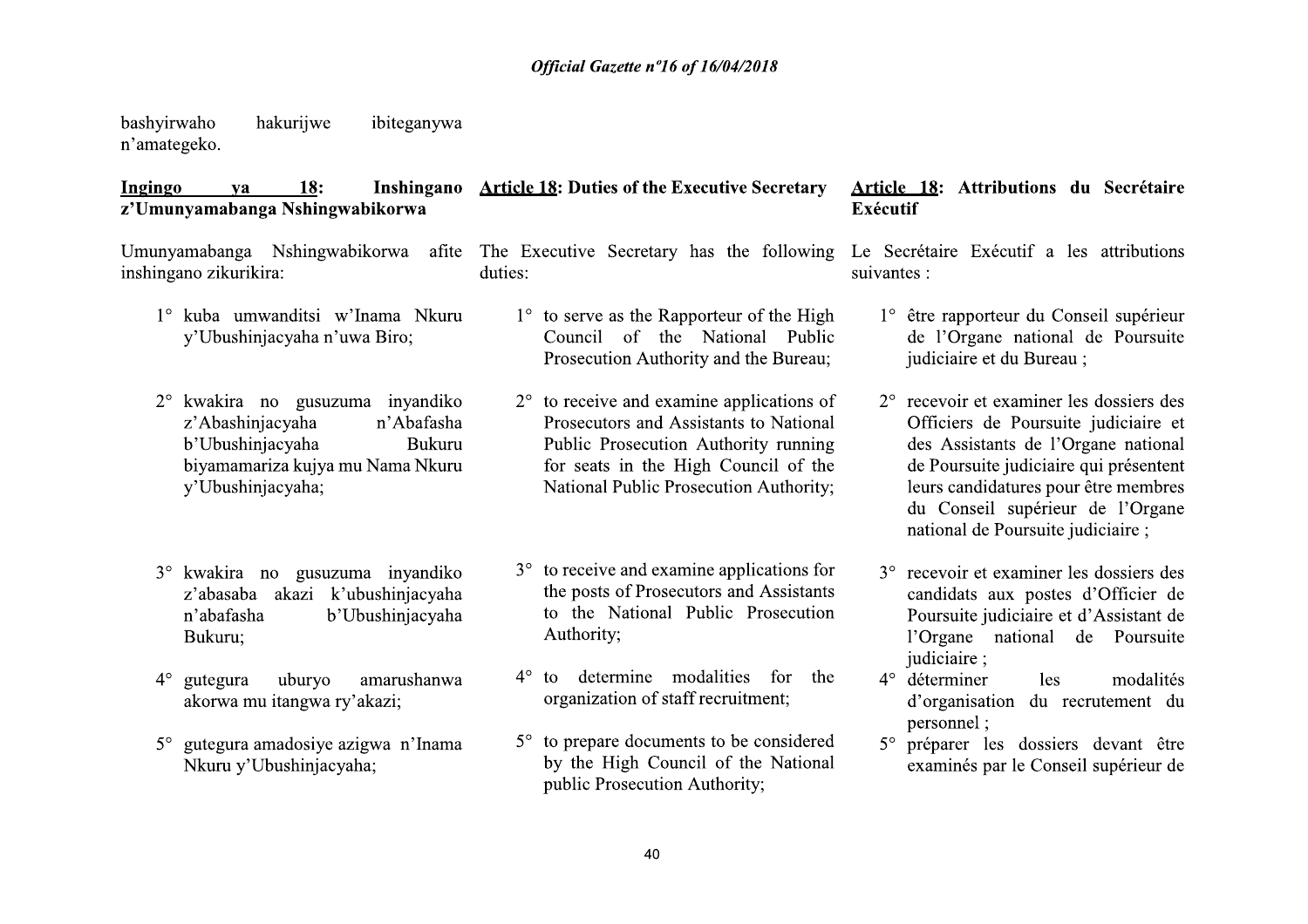bashvirwaho hakuriiwe ibiteganywa n'amategeko.

Nkuru y'Ubushinjacyaha;

#### **Ingingo**  $18:$ Inshingano Article 18: Duties of the Executive Secretary **va** z'Umunyamabanga Nshingwabikorwa

#### Umunyamabanga Nshingwabikorwa afite The Executive Secretary has the following Le Secrétaire Exécutif a les attributions inshingano zikurikira: duties: suivantes : 1° kuba umwanditsi w'Inama Nkuru  $1^{\circ}$  to serve as the Rapporteur of the High 1° être rapporteur du Conseil supérieur v'Ubushiniacvaha n'uwa Biro: Council of the National Public de l'Organe national de Poursuite Prosecution Authority and the Bureau; judiciaire et du Bureau ; 2° kwakira no gusuzuma inyandiko  $2^{\circ}$  to receive and examine applications of  $2^{\circ}$  recevoir et examiner les dossiers des z'Abashinjacyaha n'Abafasha Prosecutors and Assistants to National Officiers de Poursuite judiciaire et b'Ubushinjacyaha Public Prosecution Authority running des Assistants de l'Organe national **Bukuru** biyamamariza kujya mu Nama Nkuru for seats in the High Council of the de Poursuite judiciaire qui présentent v'Ubushinjacyaha; National Public Prosecution Authority: leurs candidatures pour être membres du Conseil supérieur de l'Organe national de Poursuite judiciaire; 3° to receive and examine applications for 3° kwakira no gusuzuma inyandiko 3° recevoir et examiner les dossiers des the posts of Prosecutors and Assistants z'abasaba akazi k'ubushinjacyaha candidats aux postes d'Officier de to the National Public Prosecution b'Ubushinjacyaha Poursuite judiciaire et d'Assistant de n'abafasha Authority; l'Organe national de Poursuite Bukuru: judiciaire: to determine modalities for the uburyo amarushanwa  $4^\circ$ 4<sup>°</sup> déterminer  $4^{\circ}$  gutegura modalités les. organization of staff recruitment; akorwa mu itangwa ry'akazi; d'organisation du recrutement du personnel: 5° to prepare documents to be considered gutegura amadosiye azigwa n'Inama  $5^\circ$

5° préparer les dossiers devant être examinés par le Conseil supérieur de

Article 18: Attributions du Secrétaire

Exécutif

by the High Council of the National

public Prosecution Authority;

40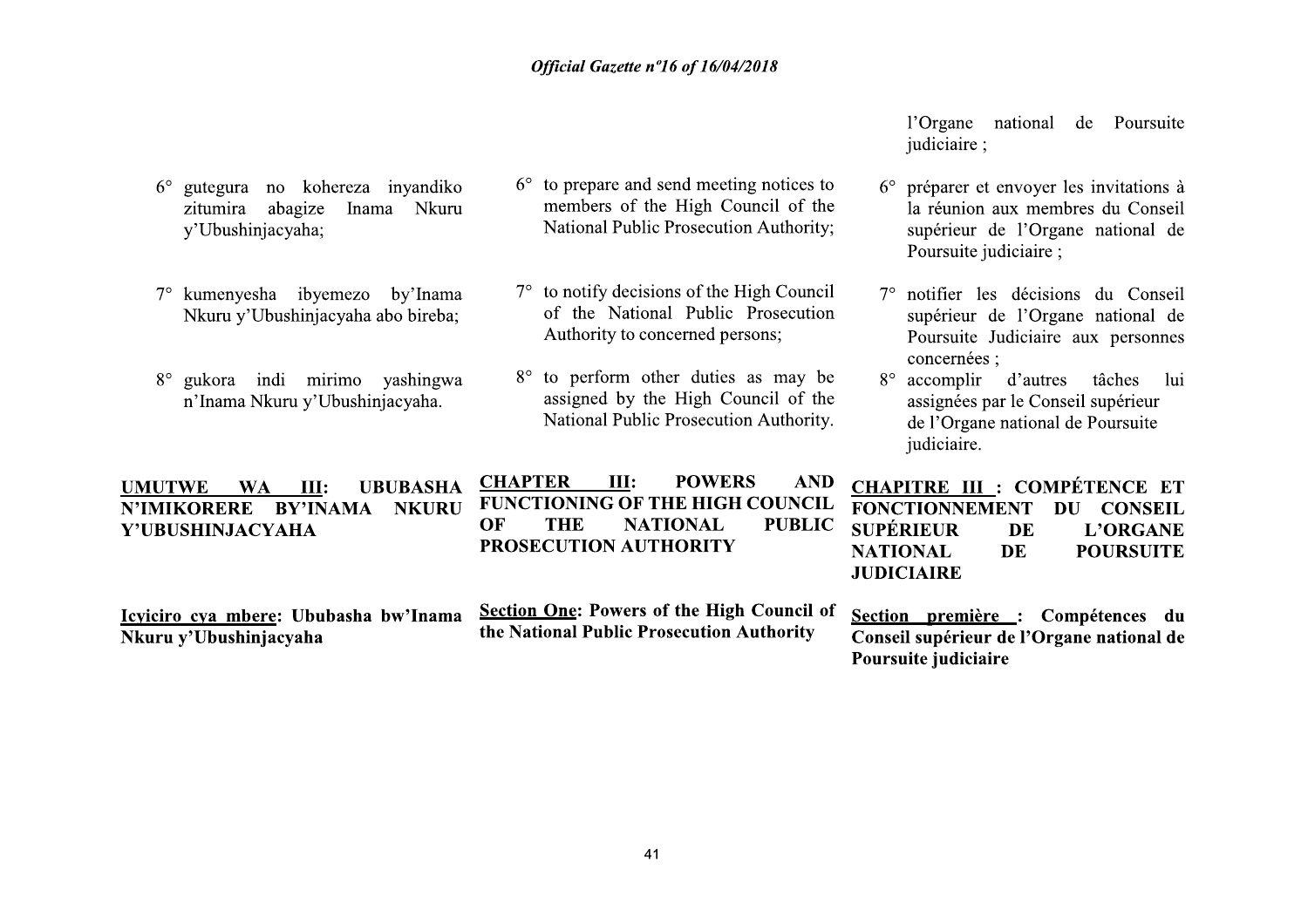$6^{\circ}$  to prepare and send meeting notices to

7° to notify decisions of the High Council

8° to perform other duties as may be

Authority to concerned persons;

members of the High Council of the

National Public Prosecution Authority;

of the National Public Prosecution

assigned by the High Council of the

National Public Prosecution Authority.

 $6^{\circ}$  gutegura no kohereza inyandiko

7° kumenyesha ibyemezo by'Inama

8° gukora indi mirimo yashingwa

n'Inama Nkuru y'Ubushinjacyaha.

Nkuru y'Ubushinjacyaha abo bireba;

y'Ubushinjacyaha;

zitumira abagize Inama Nkuru

l'Organe national de Poursuite judiciaire;

- $6^\circ$  préparer et envoyer les invitations à la réunion aux membres du Conseil supérieur de l'Organe national de Poursuite judiciaire ;
- 7° notifier les décisions du Conseil supérieur de l'Organe national de Poursuite Judiciaire aux personnes concernées :
- 8° accomplir d'autres tâches lui assignées par le Conseil supérieur de l'Organe national de Poursuite judiciaire.

| <b>UBUBASHA</b><br>III:<br><b>WA</b><br><b>UMUTWE</b><br>BY'INAMA<br><b>NKURU</b><br><b>N'IMIKORERE</b><br>Y'UBUSHINJACYAHA | <b>CHAPTER</b><br>Ш:<br><b>POWERS</b><br><b>AND</b><br><b>FUNCTIONING OF THE HIGH COUNCIL</b><br><b>NATIONAL</b><br>OF<br><b>PUBLIC</b><br>THE<br>PROSECUTION AUTHORITY | <b>CHAPITRE III : COMPÉTENCE ET</b><br>FONCTIONNEMENT DU CONSEIL<br><b>SUPÉRIEUR</b><br><b>L'ORGANE</b><br>DE<br><b>POURSUITE</b><br>DE<br><b>NATIONAL</b><br><b>JUDICIAIRE</b> |
|-----------------------------------------------------------------------------------------------------------------------------|-------------------------------------------------------------------------------------------------------------------------------------------------------------------------|---------------------------------------------------------------------------------------------------------------------------------------------------------------------------------|
| Icyiciro cya mbere: Ububasha bw'Inama<br>Nkuru y'Ubushinjacyaha                                                             | <b>Section One: Powers of the High Council of</b><br>the National Public Prosecution Authority                                                                          | Section première : Compétences du<br>Conseil supérieur de l'Organe national de<br>Poursuite judiciaire                                                                          |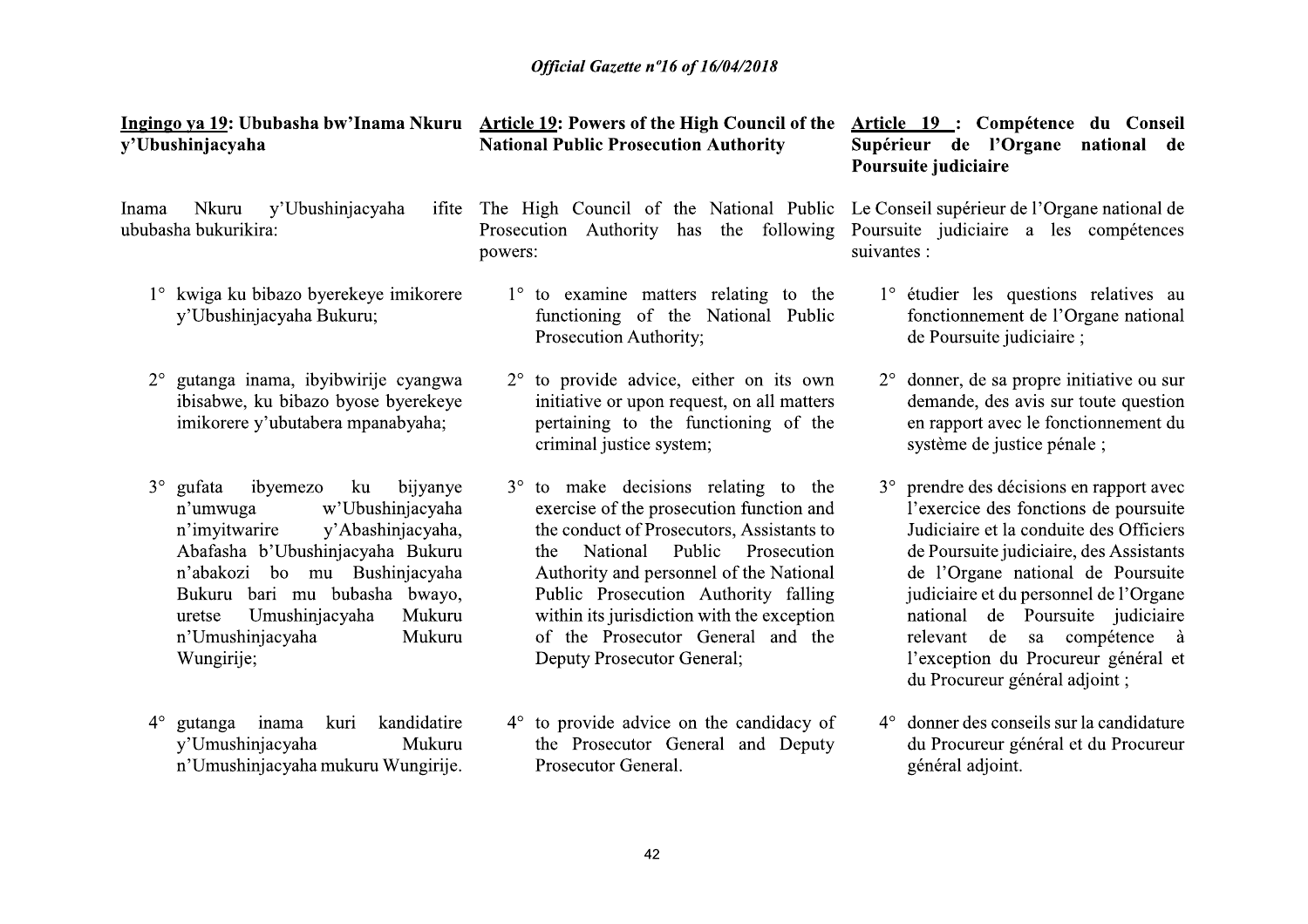| Ingingo ya 19: Ububasha bw'Inama Nkuru<br>y'Ubushinjacyaha                                                                                                                                                                                                                                                      | <b>Article 19: Powers of the High Council of the</b><br><b>National Public Prosecution Authority</b>                                                                                                                                                                                                                                                                                   | Article 19 : Compétence du Conseil<br>Supérieur de l'Organe<br>national de<br>Poursuite judiciaire                                                                                                                                                                                                                                                                                                 |
|-----------------------------------------------------------------------------------------------------------------------------------------------------------------------------------------------------------------------------------------------------------------------------------------------------------------|----------------------------------------------------------------------------------------------------------------------------------------------------------------------------------------------------------------------------------------------------------------------------------------------------------------------------------------------------------------------------------------|----------------------------------------------------------------------------------------------------------------------------------------------------------------------------------------------------------------------------------------------------------------------------------------------------------------------------------------------------------------------------------------------------|
| y'Ubushinjacyaha<br>Nkuru<br>Inama<br>ifite<br>ububasha bukurikira:                                                                                                                                                                                                                                             | The High Council of the National Public Le Conseil supérieur de l'Organe national de<br>following<br>Prosecution<br>Authority<br>has<br>the<br>powers:                                                                                                                                                                                                                                 | Poursuite judiciaire a les compétences<br>suivantes :                                                                                                                                                                                                                                                                                                                                              |
| 1° kwiga ku bibazo byerekeye imikorere<br>y'Ubushinjacyaha Bukuru;                                                                                                                                                                                                                                              | $1^\circ$ to examine matters relating to the<br>functioning of the National Public<br>Prosecution Authority;                                                                                                                                                                                                                                                                           | 1° étudier les questions relatives au<br>fonctionnement de l'Organe national<br>de Poursuite judiciaire;                                                                                                                                                                                                                                                                                           |
| gutanga inama, ibyibwirije cyangwa<br>$2^{\circ}$<br>ibisabwe, ku bibazo byose byerekeye<br>imikorere y'ubutabera mpanabyaha;                                                                                                                                                                                   | to provide advice, either on its own<br>$2^{\circ}$<br>initiative or upon request, on all matters<br>pertaining to the functioning of the<br>criminal justice system;                                                                                                                                                                                                                  | $2^{\circ}$ donner, de sa propre initiative ou sur<br>demande, des avis sur toute question<br>en rapport avec le fonctionnement du<br>système de justice pénale;                                                                                                                                                                                                                                   |
| $3^\circ$<br>gufata<br>ibyemezo<br>ku<br>bijyanye<br>w'Ubushinjacyaha<br>n'umwuga<br>y'Abashinjacyaha,<br>n'imyitwarire<br>Abafasha b'Ubushinjacyaha Bukuru<br>n'abakozi bo mu Bushinjacyaha<br>Bukuru bari mu bubasha bwayo,<br>Umushinjacyaha<br>Mukuru<br>uretse<br>n'Umushinjacyaha<br>Mukuru<br>Wungirije; | $3^{\circ}$ to make decisions relating to the<br>exercise of the prosecution function and<br>the conduct of Prosecutors, Assistants to<br>Public<br>Prosecution<br>National<br>the<br>Authority and personnel of the National<br>Public Prosecution Authority falling<br>within its jurisdiction with the exception<br>of the Prosecutor General and the<br>Deputy Prosecutor General; | 3° prendre des décisions en rapport avec<br>l'exercice des fonctions de poursuite<br>Judiciaire et la conduite des Officiers<br>de Poursuite judiciaire, des Assistants<br>de l'Organe national de Poursuite<br>judiciaire et du personnel de l'Organe<br>national de Poursuite judiciaire<br>relevant de sa compétence à<br>l'exception du Procureur général et<br>du Procureur général adjoint ; |
| kandidatire<br>$4^{\circ}$<br>kuri<br>gutanga inama<br>y'Umushinjacyaha<br>Mukuru<br>n'Umushinjacyaha mukuru Wungirije.                                                                                                                                                                                         | $4^{\circ}$ to provide advice on the candidacy of<br>the Prosecutor General and Deputy<br>Prosecutor General.                                                                                                                                                                                                                                                                          | 4° donner des conseils sur la candidature<br>du Procureur général et du Procureur<br>général adjoint.                                                                                                                                                                                                                                                                                              |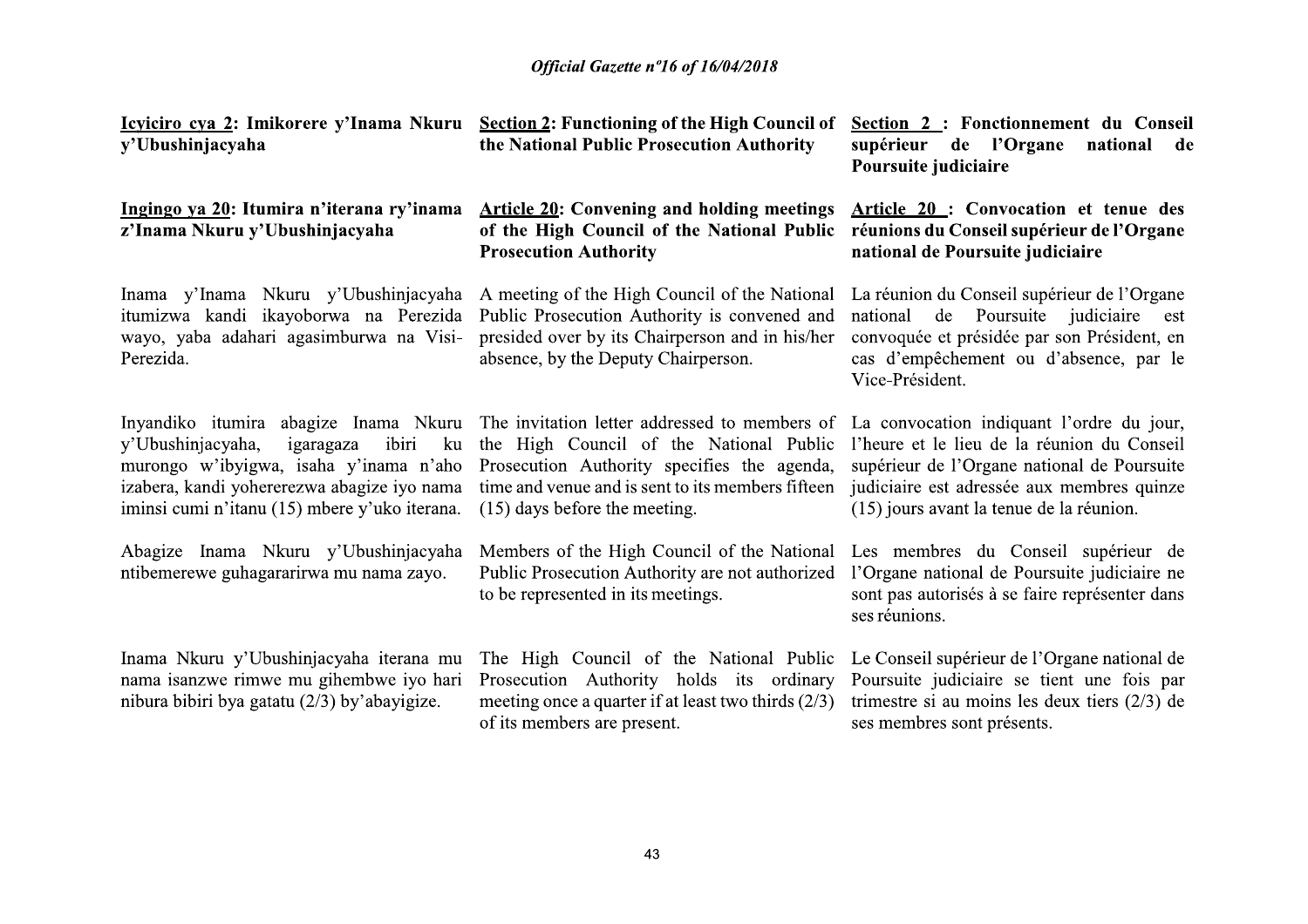| Icyiciro cya 2: Imikorere y'Inama Nkuru<br>y'Ubushinjacyaha                                                                                                                             | <b>Section 2: Functioning of the High Council of</b><br>the National Public Prosecution Authority                                                                                                                                                                                                               | Section 2 : Fonctionnement du Conseil<br>supérieur<br>de l'Organe<br>national<br>de<br>Poursuite judiciaire                                                                                                 |
|-----------------------------------------------------------------------------------------------------------------------------------------------------------------------------------------|-----------------------------------------------------------------------------------------------------------------------------------------------------------------------------------------------------------------------------------------------------------------------------------------------------------------|-------------------------------------------------------------------------------------------------------------------------------------------------------------------------------------------------------------|
| Ingingo ya 20: Itumira n'iterana ry'inama<br>z'Inama Nkuru y'Ubushinjacyaha                                                                                                             | <b>Article 20: Convening and holding meetings</b><br>of the High Council of the National Public<br><b>Prosecution Authority</b>                                                                                                                                                                                 | Article 20: Convocation et tenue des<br>réunions du Conseil supérieur de l'Organe<br>national de Poursuite judiciaire                                                                                       |
| Inama y'Inama Nkuru y'Ubushinjacyaha<br>itumizwa kandi ikayoborwa na Perezida<br>wayo, yaba adahari agasimburwa na Visi-<br>Perezida.                                                   | A meeting of the High Council of the National<br>Public Prosecution Authority is convened and<br>presided over by its Chairperson and in his/her<br>absence, by the Deputy Chairperson.                                                                                                                         | La réunion du Conseil supérieur de l'Organe<br>de<br>Poursuite<br>judiciaire<br>national<br>est<br>convoquée et présidée par son Président, en<br>cas d'empêchement ou d'absence, par le<br>Vice-Président. |
| ibiri<br>y'Ubushinjacyaha,<br>ku<br>igaragaza<br>murongo w'ibyigwa, isaha y'inama n'aho<br>izabera, kandi yohererezwa abagize iyo nama<br>iminsi cumi n'itanu (15) mbere y'uko iterana. | Inyandiko itumira abagize Inama Nkuru The invitation letter addressed to members of La convocation indiquant l'ordre du jour,<br>the High Council of the National Public<br>Prosecution Authority specifies the agenda,<br>time and venue and is sent to its members fifteen<br>$(15)$ days before the meeting. | l'heure et le lieu de la réunion du Conseil<br>supérieur de l'Organe national de Poursuite<br>judiciaire est adressée aux membres quinze<br>(15) jours avant la tenue de la réunion.                        |
| Abagize Inama Nkuru y'Ubushinjacyaha<br>ntibemerewe guhagararirwa mu nama zayo.                                                                                                         | Members of the High Council of the National<br>Public Prosecution Authority are not authorized<br>to be represented in its meetings.                                                                                                                                                                            | Les membres du Conseil supérieur de<br>l'Organe national de Poursuite judiciaire ne<br>sont pas autorisés à se faire représenter dans<br>ses réunions.                                                      |
| Inama Nkuru y'Ubushinjacyaha iterana mu<br>nama isanzwe rimwe mu gihembwe iyo hari<br>nibura bibiri bya gatatu (2/3) by'abayigize.                                                      | The High Council of the National Public<br>Prosecution Authority holds its ordinary<br>meeting once a quarter if at least two thirds $(2/3)$<br>of its members are present.                                                                                                                                     | Le Conseil supérieur de l'Organe national de<br>Poursuite judiciaire se tient une fois par<br>trimestre si au moins les deux tiers $(2/3)$ de<br>ses membres sont présents.                                 |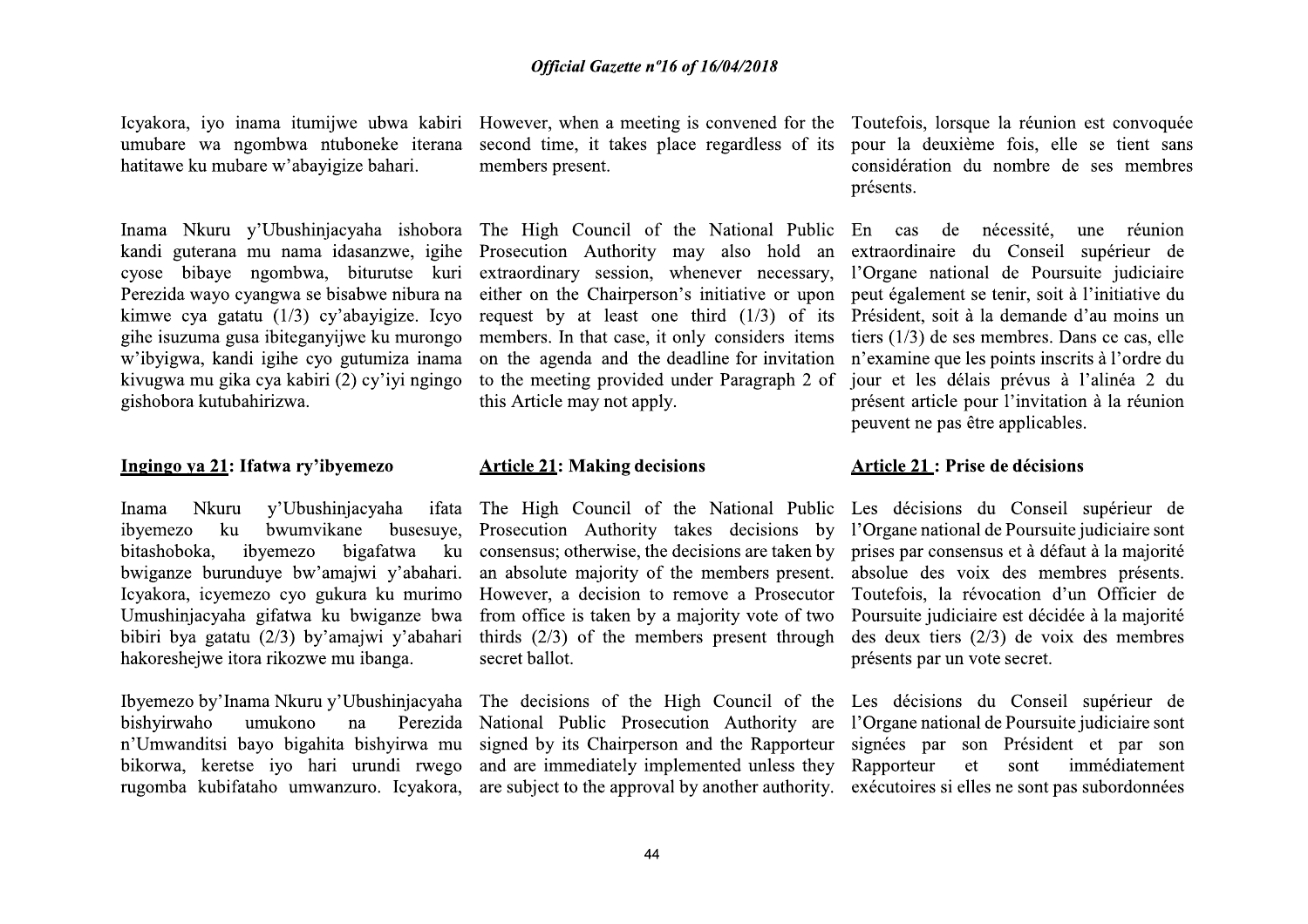hatitawe ku mubare w'abavigize bahari.

Perezida wayo cyangwa se bisabwe nibura na kimwe cya gatatu  $(1/3)$  cy'abayigize. Icyo gihe isuzuma gusa ibiteganvijwe ku murongo w'ibyigwa, kandi igihe cyo gutumiza inama kivugwa mu gika cya kabiri (2) cy'iyi ngingo gishobora kutubahirizwa.

#### Ingingo ya 21: Ifatwa ry'ibyemezo

y'Ubushinjacyaha **Nkuru Inama** ifata bwumvikane ibyemezo  $k$ u busesuye, bitashoboka. ibvemezo bigafatwa ku bwiganze burunduye bw'amajwi y'abahari. Icyakora, icyemezo cyo gukura ku murimo Umushinjacyaha gifatwa ku bwiganze bwa bibiri bya gatatu (2/3) by'amajwi y'abahari hakoreshejwe itora rikozwe mu ibanga.

bishyirwaho umukono na n'Umwanditsi bayo bigahita bishyirwa mu bikorwa, keretse iyo hari urundi rwego rugomba kubifataho umwanzuro. Icyakora,

umubare wa ngombwa ntuboneke iterana second time, it takes place regardless of its members present.

Inama Nkuru y'Ubushinjacyaha ishobora The High Council of the National Public En cas kandi guterana mu nama idasanzwe, igihe Prosecution Authority may also hold an cyose bibaye ngombwa, biturutse kuri extraordinary session, whenever necessary, either on the Chairperson's initiative or upon request by at least one third  $(1/3)$  of its members. In that case, it only considers items on the agenda and the deadline for invitation to the meeting provided under Paragraph 2 of this Article may not apply.

#### **Article 21: Making decisions**

Prosecution Authority takes decisions by l'Organe national de Poursuite judiciaire sont consensus; otherwise, the decisions are taken by an absolute majority of the members present. However, a decision to remove a Prosecutor from office is taken by a majority vote of two thirds  $(2/3)$  of the members present through secret ballot.

Ibyemezo by'Inama Nkuru y'Ubushinjacyaha The decisions of the High Council of the Les décisions du Conseil supérieur de Perezida National Public Prosecution Authority are signed by its Chairperson and the Rapporteur and are immediately implemented unless they are subject to the approval by another authority. exécutoires si elles ne sont pas subordonnées

Icyakora, iyo inama itumijwe ubwa kabiri However, when a meeting is convened for the Toutefois, lorsque la réunion est convoquée pour la deuxième fois, elle se tient sans considération du nombre de ses membres présents.

> de nécessité. une réunion extraordinaire du Conseil supérieur de l'Organe national de Poursuite judiciaire peut également se tenir, soit à l'initiative du Président, soit à la demande d'au moins un tiers  $(1/3)$  de ses membres. Dans ce cas, elle n'examine que les points inscrits à l'ordre du jour et les délais prévus à l'alinéa 2 du présent article pour l'invitation à la réunion peuvent ne pas être applicables.

#### Article 21 : Prise de décisions

The High Council of the National Public Les décisions du Conseil supérieur de prises par consensus et à défaut à la majorité absolue des voix des membres présents. Toutefois, la révocation d'un Officier de Poursuite judiciaire est décidée à la majorité des deux tiers  $(2/3)$  de voix des membres présents par un vote secret.

> l'Organe national de Poursuite judiciaire sont signées par son Président et par son Rapporteur et sont immédiatement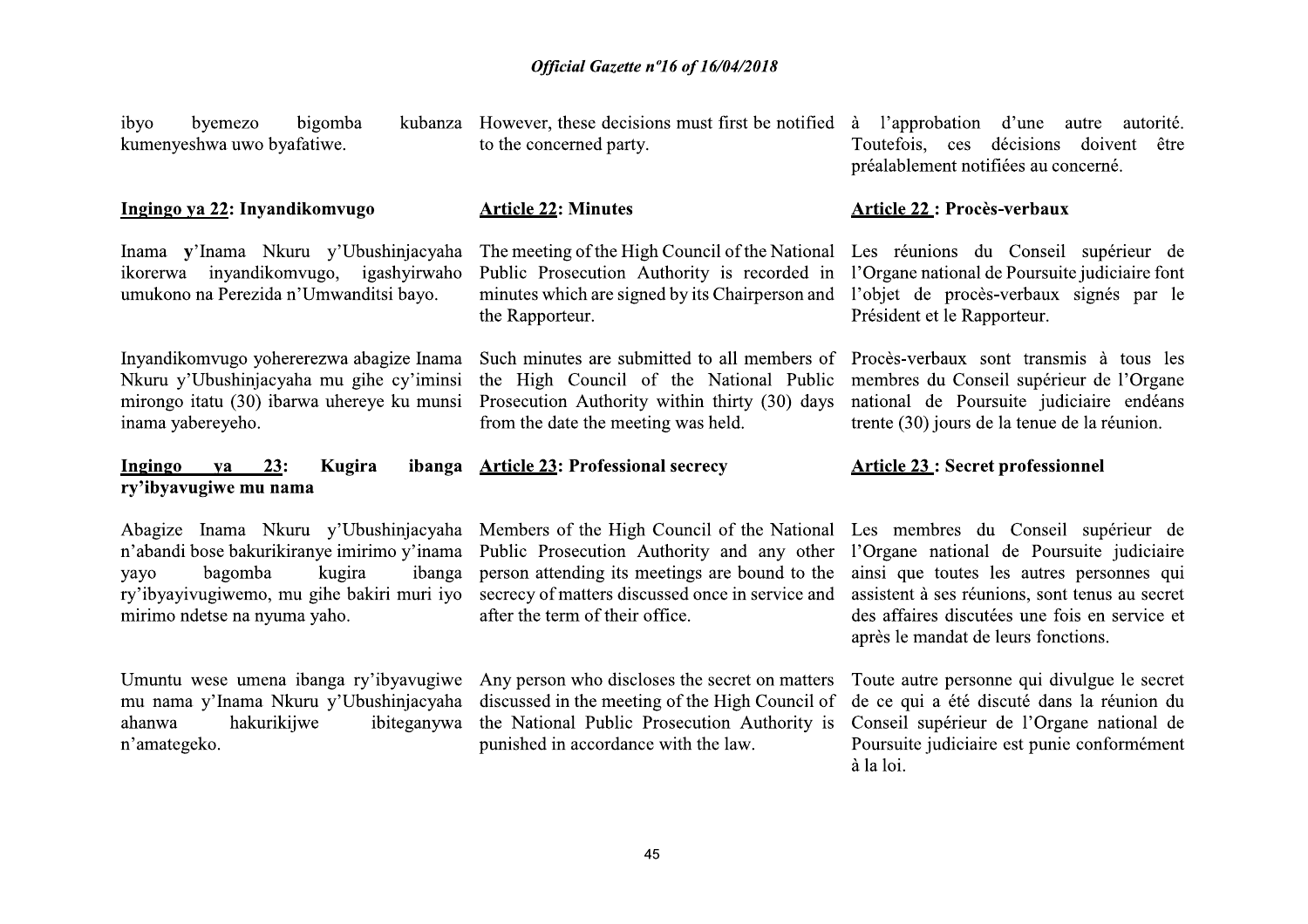ibyo byemezo bigomba kumenyeshwa uwo byafatiwe.

#### Ingingo ya 22: Inyandikomvugo

Inama v'Inama Nkuru y'Ubushinjacyaha ikorerwa inyandikomvugo, igashyirwaho umukono na Perezida n'Umwanditsi bayo.

Inyandikomvugo yohererezwa abagize Inama Nkuru y'Ubushinjacyaha mu gihe cy'iminsi mirongo itatu (30) ibarwa uhereye ku munsi inama vabereveho.

#### Ingingo  $23:$ Kugira va ry'ibyavugiwe mu nama

Abagize Inama Nkuru y'Ubushinjacyaha Members of the High Council of the National Les membres du Conseil supérieur de bagomba kugira ibanga yayo mirimo ndetse na nyuma yaho.

Umuntu wese umena ibanga ry'ibyayugiwe Any person who discloses the secret on matters ahanwa hakurikiiwe ibiteganywa n'amategeko.

kubanza However, these decisions must first be notified à l'approbation d'une autre to the concerned party.

#### **Article 22: Minutes**

The meeting of the High Council of the National Public Prosecution Authority is recorded in minutes which are signed by its Chairperson and the Rapporteur.

Such minutes are submitted to all members of Procès-verbaux sont transmis à tous les the High Council of the National Public Prosecution Authority within thirty (30) days from the date the meeting was held.

#### ibanga Article 23: Professional secrecy

n'abandi bose bakurikiranye imirimo y'inama Public Prosecution Authority and any other person attending its meetings are bound to the ry'ibyayivugiwemo, mu gihe bakiri muri iyo secrecy of matters discussed once in service and after the term of their office.

mu nama y'Inama Nkuru y'Ubushinjacyaha discussed in the meeting of the High Council of the National Public Prosecution Authority is punished in accordance with the law.

autorité. Toutefois, ces décisions doivent être préalablement notifiées au concerné.

#### **Article 22: Procès-verbaux**

Les réunions du Conseil supérieur de l'Organe national de Poursuite judiciaire font l'objet de procès-verbaux signés par le Président et le Rapporteur.

membres du Conseil supérieur de l'Organe national de Poursuite judiciaire endéans trente (30) jours de la tenue de la réunion.

## **Article 23: Secret professionnel**

l'Organe national de Poursuite judiciaire ainsi que toutes les autres personnes qui assistent à ses réunions, sont tenus au secret des affaires discutées une fois en service et après le mandat de leurs fonctions.

Toute autre personne qui divulgue le secret de ce qui a été discuté dans la réunion du Conseil supérieur de l'Organe national de Poursuite judiciaire est punie conformément à la loi.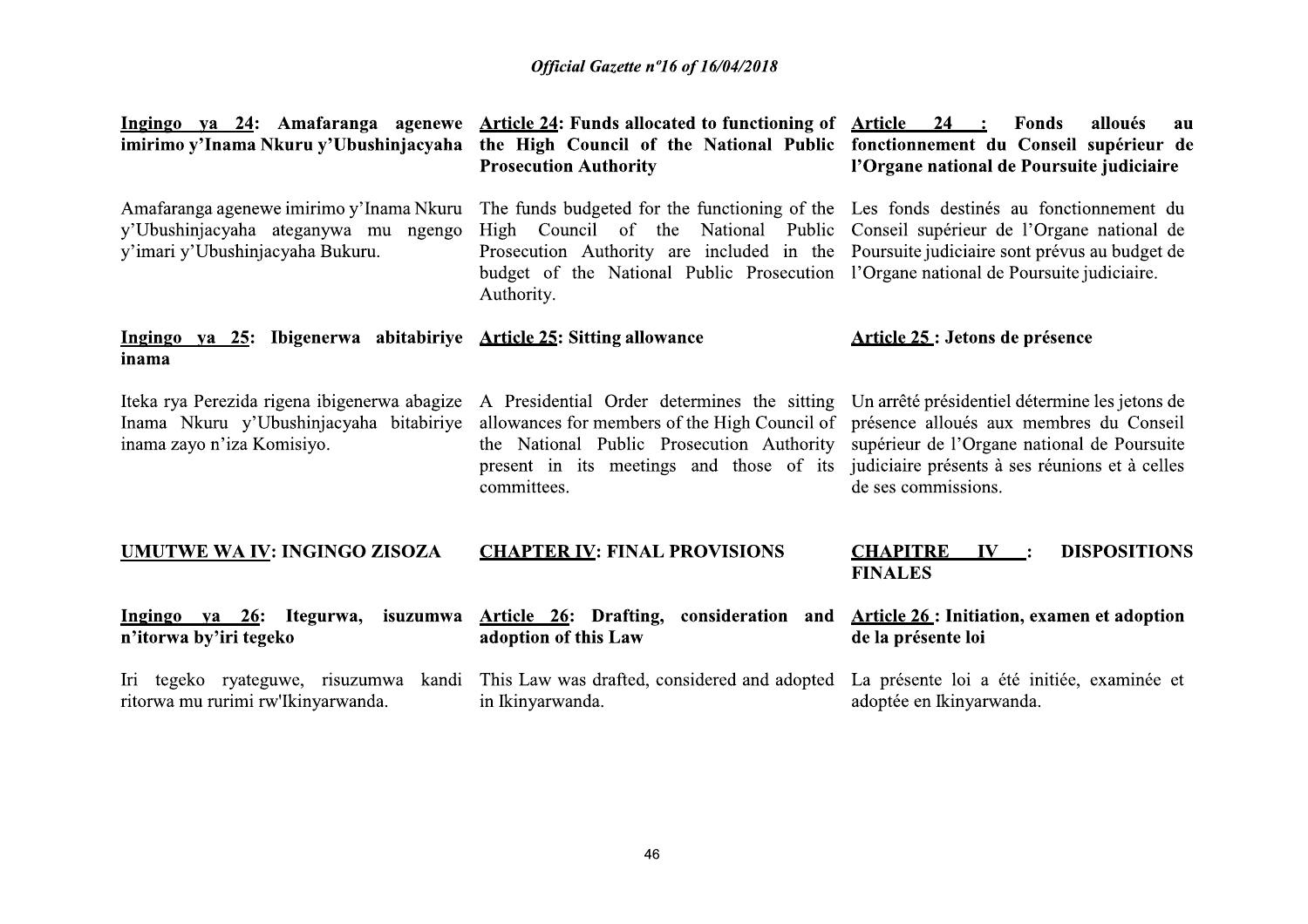| Ingingo ya 24: Amafaranga agenewe<br>imirimo y'Inama Nkuru y'Ubushinjacyaha                                           | Article 24: Funds allocated to functioning of Article 24 :<br>the High Council of the National Public fonctionnement du Conseil supérieur de<br><b>Prosecution Authority</b>                                                                                                                                                                                            | <b>Fonds</b><br>alloués<br>au<br>l'Organe national de Poursuite judiciaire                                                                                                                                        |
|-----------------------------------------------------------------------------------------------------------------------|-------------------------------------------------------------------------------------------------------------------------------------------------------------------------------------------------------------------------------------------------------------------------------------------------------------------------------------------------------------------------|-------------------------------------------------------------------------------------------------------------------------------------------------------------------------------------------------------------------|
| Amafaranga agenewe imirimo y'Inama Nkuru<br>y'Ubushinjacyaha ateganywa mu ngengo<br>y'imari y'Ubushinjacyaha Bukuru.  | The funds budgeted for the functioning of the Les fonds destinés au fonctionnement du<br>High Council of the National Public Conseil supérieur de l'Organe national de<br>Prosecution Authority are included in the Poursuite judiciaire sont prévus au budget de<br>budget of the National Public Prosecution l'Organe national de Poursuite judiciaire.<br>Authority. |                                                                                                                                                                                                                   |
| Ingingo ya 25: Ibigenerwa abitabiriye Article 25: Sitting allowance<br>inama                                          |                                                                                                                                                                                                                                                                                                                                                                         | Article 25 : Jetons de présence                                                                                                                                                                                   |
| Iteka rya Perezida rigena ibigenerwa abagize<br>Inama Nkuru y'Ubushinjacyaha bitabiriye<br>inama zayo n'iza Komisiyo. | A Presidential Order determines the sitting<br>allowances for members of the High Council of<br>the National Public Prosecution Authority<br>present in its meetings and those of its<br>committees.                                                                                                                                                                    | Un arrêté présidentiel détermine les jetons de<br>présence alloués aux membres du Conseil<br>supérieur de l'Organe national de Poursuite<br>judiciaire présents à ses réunions et à celles<br>de ses commissions. |
| <b>UMUTWE WA IV: INGINGO ZISOZA</b>                                                                                   | <b>CHAPTER IV: FINAL PROVISIONS</b>                                                                                                                                                                                                                                                                                                                                     | <b>DISPOSITIONS</b><br><b>CHAPITRE</b><br>IV:<br><b>FINALES</b>                                                                                                                                                   |
| Ingingo ya 26: Itegurwa,<br>n'itorwa by'iri tegeko                                                                    | isuzumwa Article 26: Drafting, consideration and<br>adoption of this Law                                                                                                                                                                                                                                                                                                | <b>Article 26: Initiation, examen et adoption</b><br>de la présente loi                                                                                                                                           |
| ritorwa mu rurimi rw'Ikinyarwanda.                                                                                    | Iri tegeko ryateguwe, risuzumwa kandi This Law was drafted, considered and adopted<br>in Ikinyarwanda.                                                                                                                                                                                                                                                                  | La présente loi a été initiée, examinée et<br>adoptée en Ikinyarwanda.                                                                                                                                            |